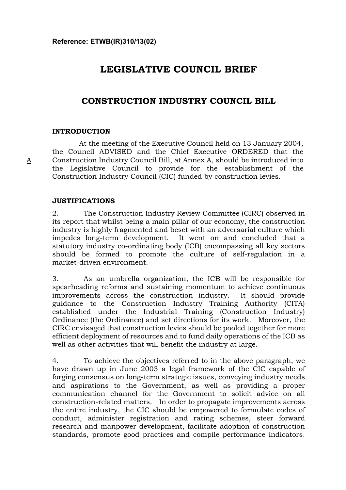# **LEGISLATIVE COUNCIL BRIEF**

## **CONSTRUCTION INDUSTRY COUNCIL BILL**

### **INTRODUCTION**

A

 At the meeting of the Executive Council held on 13 January 2004, the Council ADVISED and the Chief Executive ORDERED that the Construction Industry Council Bill, at Annex A, should be introduced into the Legislative Council to provide for the establishment of the Construction Industry Council (CIC) funded by construction levies.

#### **JUSTIFICATIONS**

2. The Construction Industry Review Committee (CIRC) observed in its report that whilst being a main pillar of our economy, the construction industry is highly fragmented and beset with an adversarial culture which impedes long-term development. It went on and concluded that a statutory industry co-ordinating body (ICB) encompassing all key sectors should be formed to promote the culture of self-regulation in a market-driven environment.

3. As an umbrella organization, the ICB will be responsible for spearheading reforms and sustaining momentum to achieve continuous improvements across the construction industry. It should provide guidance to the Construction Industry Training Authority (CITA) established under the Industrial Training (Construction Industry) Ordinance (the Ordinance) and set directions for its work. Moreover, the CIRC envisaged that construction levies should be pooled together for more efficient deployment of resources and to fund daily operations of the ICB as well as other activities that will benefit the industry at large.

4. To achieve the objectives referred to in the above paragraph, we have drawn up in June 2003 a legal framework of the CIC capable of forging consensus on long-term strategic issues, conveying industry needs and aspirations to the Government, as well as providing a proper communication channel for the Government to solicit advice on all construction-related matters. In order to propagate improvements across the entire industry, the CIC should be empowered to formulate codes of conduct, administer registration and rating schemes, steer forward research and manpower development, facilitate adoption of construction standards, promote good practices and compile performance indicators.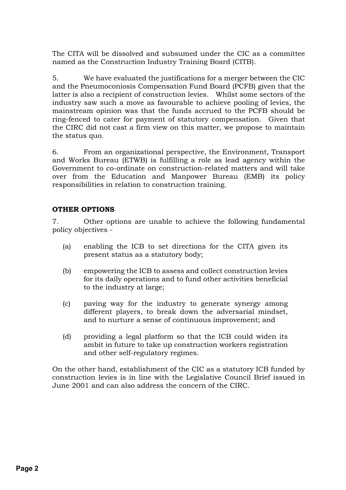The CITA will be dissolved and subsumed under the CIC as a committee named as the Construction Industry Training Board (CITB).

5. We have evaluated the justifications for a merger between the CIC and the Pneumoconiosis Compensation Fund Board (PCFB) given that the latter is also a recipient of construction levies. Whilst some sectors of the industry saw such a move as favourable to achieve pooling of levies, the mainstream opinion was that the funds accrued to the PCFB should be ring-fenced to cater for payment of statutory compensation. Given that the CIRC did not cast a firm view on this matter, we propose to maintain the status quo.

6. From an organizational perspective, the Environment, Transport and Works Bureau (ETWB) is fulfilling a role as lead agency within the Government to co-ordinate on construction-related matters and will take over from the Education and Manpower Bureau (EMB) its policy responsibilities in relation to construction training.

## **OTHER OPTIONS**

7. Other options are unable to achieve the following fundamental policy objectives -

- (a) enabling the ICB to set directions for the CITA given its present status as a statutory body;
- (b) empowering the ICB to assess and collect construction levies for its daily operations and to fund other activities beneficial to the industry at large;
- (c) paving way for the industry to generate synergy among different players, to break down the adversarial mindset, and to nurture a sense of continuous improvement; and
- (d) providing a legal platform so that the ICB could widen its ambit in future to take up construction workers registration and other self-regulatory regimes.

On the other hand, establishment of the CIC as a statutory ICB funded by construction levies is in line with the Legislative Council Brief issued in June 2001 and can also address the concern of the CIRC.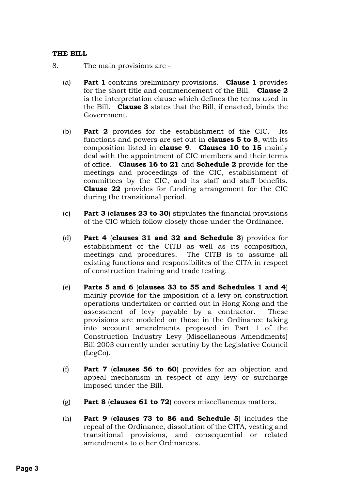### **THE BILL**

- 8. The main provisions are
	- (a) **Part 1** contains preliminary provisions. **Clause 1** provides for the short title and commencement of the Bill. **Clause 2** is the interpretation clause which defines the terms used in the Bill. **Clause 3** states that the Bill, if enacted, binds the Government.
	- (b) **Part 2** provides for the establishment of the CIC. Its functions and powers are set out in **clauses 5 to 8**, with its composition listed in **clause 9**. **Clauses 10 to 15** mainly deal with the appointment of CIC members and their terms of office. **Clauses 16 to 21** and **Schedule 2** provide for the meetings and proceedings of the CIC, establishment of committees by the CIC, and its staff and staff benefits. **Clause 22** provides for funding arrangement for the CIC during the transitional period.
	- (c) **Part 3** (**clauses 23 to 30**) stipulates the financial provisions of the CIC which follow closely those under the Ordinance.
	- (d) **Part 4** (**clauses 31 and 32 and Schedule 3**) provides for establishment of the CITB as well as its composition, meetings and procedures. The CITB is to assume all existing functions and responsibilites of the CITA in respect of construction training and trade testing.
	- (e) **Parts 5 and 6** (**clauses 33 to 55 and Schedules 1 and 4**) mainly provide for the imposition of a levy on construction operations undertaken or carried out in Hong Kong and the assessment of levy payable by a contractor. These provisions are modeled on those in the Ordinance taking into account amendments proposed in Part 1 of the Construction Industry Levy (Miscellaneous Amendments) Bill 2003 currently under scrutiny by the Legislative Council (LegCo).
	- (f) **Part 7** (**clauses 56 to 60**) provides for an objection and appeal mechanism in respect of any levy or surcharge imposed under the Bill.
	- (g) **Part 8** (**clauses 61 to 72**) covers miscellaneous matters.
	- (h) **Part 9** (**clauses 73 to 86 and Schedule 5**) includes the repeal of the Ordinance, dissolution of the CITA, vesting and transitional provisions, and consequential or related amendments to other Ordinances.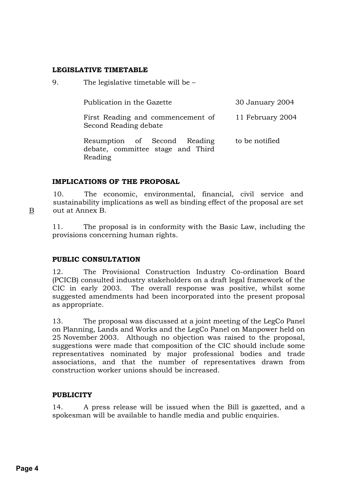#### **LEGISLATIVE TIMETABLE**

|  | 9. | The legislative timetable will be $-$ |
|--|----|---------------------------------------|
|--|----|---------------------------------------|

| Publication in the Gazette                                 |  | 30 January 2004  |  |                |
|------------------------------------------------------------|--|------------------|--|----------------|
| First Reading and commencement of<br>Second Reading debate |  | 11 February 2004 |  |                |
| Resumption of Second Reading                               |  |                  |  | to be notified |

debate, committee stage and Third Reading

### **IMPLICATIONS OF THE PROPOSAL**

10. The economic, environmental, financial, civil service and sustainability implications as well as binding effect of the proposal are set out at Annex B.

11. The proposal is in conformity with the Basic Law, including the provisions concerning human rights.

### **PUBLIC CONSULTATION**

12. The Provisional Construction Industry Co-ordination Board (PCICB) consulted industry stakeholders on a draft legal framework of the CIC in early 2003. The overall response was positive, whilst some suggested amendments had been incorporated into the present proposal as appropriate.

13. The proposal was discussed at a joint meeting of the LegCo Panel on Planning, Lands and Works and the LegCo Panel on Manpower held on 25 November 2003. Although no objection was raised to the proposal, suggestions were made that composition of the CIC should include some representatives nominated by major professional bodies and trade associations, and that the number of representatives drawn from construction worker unions should be increased.

### **PUBLICITY**

14. A press release will be issued when the Bill is gazetted, and a spokesman will be available to handle media and public enquiries.

B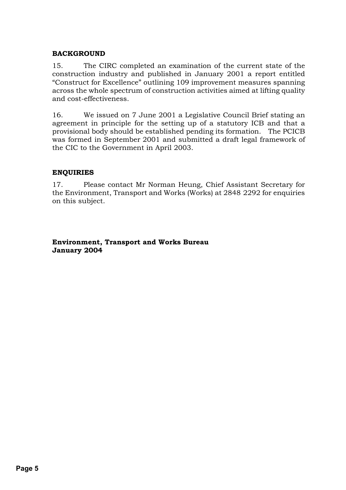### **BACKGROUND**

15. The CIRC completed an examination of the current state of the construction industry and published in January 2001 a report entitled "Construct for Excellence" outlining 109 improvement measures spanning across the whole spectrum of construction activities aimed at lifting quality and cost-effectiveness.

16. We issued on 7 June 2001 a Legislative Council Brief stating an agreement in principle for the setting up of a statutory ICB and that a provisional body should be established pending its formation. The PCICB was formed in September 2001 and submitted a draft legal framework of the CIC to the Government in April 2003.

#### **ENQUIRIES**

17. Please contact Mr Norman Heung, Chief Assistant Secretary for the Environment, Transport and Works (Works) at 2848 2292 for enquiries on this subject.

#### **Environment, Transport and Works Bureau January 2004**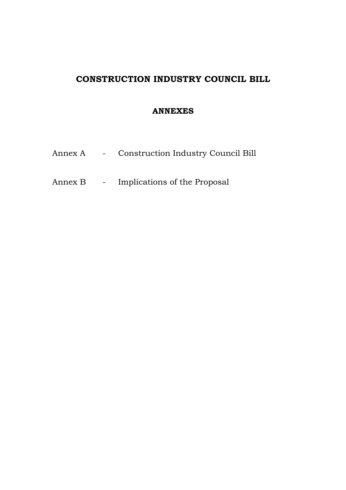## **CONSTRUCTION INDUSTRY COUNCIL BILL**

## **ANNEXES**

- Annex A Construction Industry Council Bill
- Annex B Implications of the Proposal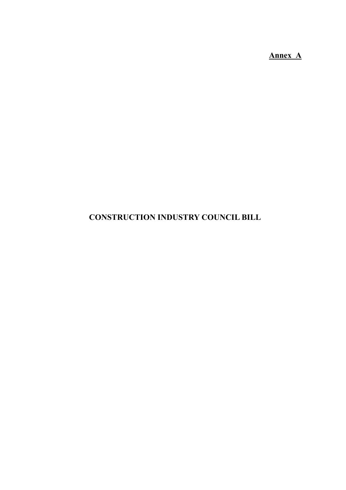**Annex A**

# **CONSTRUCTION INDUSTRY COUNCIL BILL**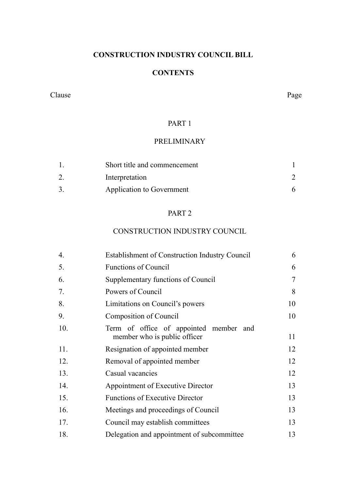## **CONSTRUCTION INDUSTRY COUNCIL BILL**

## **CONTENTS**

#### Clause Page

## PART 1

## PRELIMINARY

| Short title and commencement |  |
|------------------------------|--|
| Interpretation               |  |
| Application to Government    |  |

### PART 2

## CONSTRUCTION INDUSTRY COUNCIL

| 4.  | <b>Establishment of Construction Industry Council</b>                  | 6  |
|-----|------------------------------------------------------------------------|----|
| 5.  | <b>Functions of Council</b>                                            | 6  |
| 6.  | Supplementary functions of Council                                     | 7  |
| 7.  | Powers of Council                                                      | 8  |
| 8.  | Limitations on Council's powers                                        | 10 |
| 9.  | Composition of Council                                                 | 10 |
| 10. | Term of office of appointed member and<br>member who is public officer | 11 |
| 11. | Resignation of appointed member                                        | 12 |
| 12. | Removal of appointed member                                            | 12 |
| 13. | Casual vacancies                                                       | 12 |
| 14. | Appointment of Executive Director                                      | 13 |
| 15. | <b>Functions of Executive Director</b>                                 | 13 |
| 16. | Meetings and proceedings of Council                                    | 13 |
| 17. | Council may establish committees                                       | 13 |
| 18. | Delegation and appointment of subcommittee                             | 13 |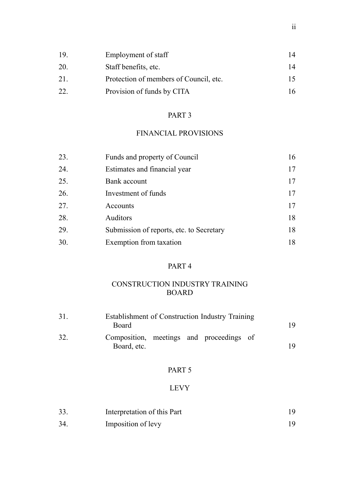| 19 | Employment of staff                    | 14   |
|----|----------------------------------------|------|
| 20 | Staff benefits, etc.                   | 14   |
| 21 | Protection of members of Council, etc. | I 5. |
| 22 | Provision of funds by CITA             | 16   |

## FINANCIAL PROVISIONS

| 23. | Funds and property of Council            | 16 |
|-----|------------------------------------------|----|
| 24. | Estimates and financial year             | 17 |
| 25. | Bank account                             | 17 |
| 26. | Investment of funds                      | 17 |
| 27. | Accounts                                 | 17 |
| 28. | <b>Auditors</b>                          | 18 |
| 29. | Submission of reports, etc. to Secretary | 18 |
| 30. | Exemption from taxation                  | 18 |

## PART 4

## CONSTRUCTION INDUSTRY TRAINING BOARD

| 31. | Establishment of Construction Industry Training<br>Board | 19 |
|-----|----------------------------------------------------------|----|
| 32. | Composition, meetings and proceedings of<br>Board, etc.  | 19 |

## PART 5

## LEVY

| 33. | Interpretation of this Part |  |
|-----|-----------------------------|--|
| 34. | Imposition of levy          |  |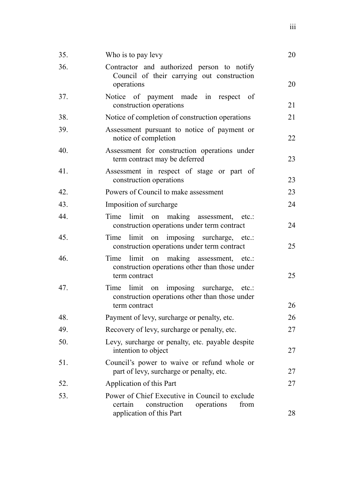| 35. | Who is to pay levy                                                                                                          | 20 |
|-----|-----------------------------------------------------------------------------------------------------------------------------|----|
| 36. | Contractor and authorized person to notify<br>Council of their carrying out construction<br>operations                      | 20 |
| 37. | Notice of payment made in respect of<br>construction operations                                                             | 21 |
| 38. | Notice of completion of construction operations                                                                             | 21 |
| 39. | Assessment pursuant to notice of payment or<br>notice of completion                                                         | 22 |
| 40. | Assessment for construction operations under<br>term contract may be deferred                                               | 23 |
| 41. | Assessment in respect of stage or part of<br>construction operations                                                        | 23 |
| 42. | Powers of Council to make assessment                                                                                        | 23 |
| 43. | Imposition of surcharge                                                                                                     | 24 |
| 44. | limit on making assessment, etc.:<br>Time<br>construction operations under term contract                                    | 24 |
| 45. | limit on imposing surcharge, etc.:<br>Time<br>construction operations under term contract                                   | 25 |
| 46. | limit on making assessment, etc.:<br>Time<br>construction operations other than those under<br>term contract                | 25 |
| 47. | Time limit on imposing surcharge, etc.:<br>construction operations other than those under                                   |    |
|     | term contract                                                                                                               | 26 |
| 48. | Payment of levy, surcharge or penalty, etc.                                                                                 | 26 |
| 49. | Recovery of levy, surcharge or penalty, etc.                                                                                | 27 |
| 50. | Levy, surcharge or penalty, etc. payable despite<br>intention to object                                                     | 27 |
| 51. | Council's power to waive or refund whole or<br>part of levy, surcharge or penalty, etc.                                     | 27 |
| 52. | Application of this Part                                                                                                    | 27 |
| 53. | Power of Chief Executive in Council to exclude<br>operations<br>construction<br>from<br>certain<br>application of this Part | 28 |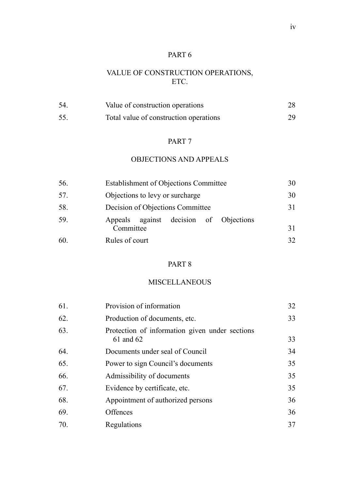## VALUE OF CONSTRUCTION OPERATIONS, ETC.

| 54 | Value of construction operations       | 28 |
|----|----------------------------------------|----|
| 55 | Total value of construction operations | 29 |

#### PART 7

## OBJECTIONS AND APPEALS

| 56. | <b>Establishment of Objections Committee</b>        | 30  |
|-----|-----------------------------------------------------|-----|
| 57. | Objections to levy or surcharge                     | 30  |
| 58. | Decision of Objections Committee                    | 31  |
| 59. | Appeals against decision of Objections<br>Committee | 31  |
| 60. | Rules of court                                      | 32. |

## PART 8

### MISCELLANEOUS

| Provision of information                                    | 32 |
|-------------------------------------------------------------|----|
| Production of documents, etc.                               | 33 |
| Protection of information given under sections<br>61 and 62 | 33 |
| Documents under seal of Council                             | 34 |
| Power to sign Council's documents                           | 35 |
| Admissibility of documents                                  | 35 |
| Evidence by certificate, etc.                               | 35 |
| Appointment of authorized persons                           | 36 |
| Offences                                                    | 36 |
| Regulations                                                 | 37 |
|                                                             |    |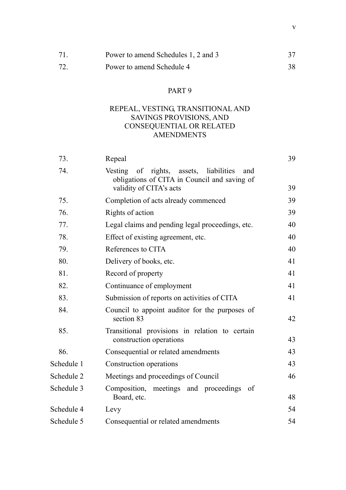| 71  | Power to amend Schedules 1, 2 and 3 |    |
|-----|-------------------------------------|----|
| 72. | Power to amend Schedule 4           | 38 |

## REPEAL, VESTING, TRANSITIONAL AND SAVINGS PROVISIONS, AND CONSEQUENTIAL OR RELATED **AMENDMENTS**

| 73.        | Repeal                                                                                                                               | 39 |
|------------|--------------------------------------------------------------------------------------------------------------------------------------|----|
| 74.        | Vesting<br>of<br>rights,<br>assets,<br>liabilities<br>and<br>obligations of CITA in Council and saving of<br>validity of CITA's acts | 39 |
| 75.        | Completion of acts already commenced                                                                                                 | 39 |
| 76.        | Rights of action                                                                                                                     | 39 |
| 77.        | Legal claims and pending legal proceedings, etc.                                                                                     | 40 |
| 78.        | Effect of existing agreement, etc.                                                                                                   | 40 |
| 79.        | References to CITA                                                                                                                   | 40 |
| 80.        | Delivery of books, etc.                                                                                                              | 41 |
| 81.        | Record of property                                                                                                                   | 41 |
| 82.        | Continuance of employment                                                                                                            | 41 |
| 83.        | Submission of reports on activities of CITA                                                                                          | 41 |
| 84.        | Council to appoint auditor for the purposes of<br>section 83                                                                         | 42 |
| 85.        | Transitional provisions in relation to certain<br>construction operations                                                            | 43 |
| 86.        | Consequential or related amendments                                                                                                  | 43 |
| Schedule 1 | Construction operations                                                                                                              | 43 |
| Schedule 2 | Meetings and proceedings of Council                                                                                                  | 46 |
| Schedule 3 | Composition, meetings and proceedings<br>- of<br>Board, etc.                                                                         | 48 |
| Schedule 4 | Levy                                                                                                                                 | 54 |
| Schedule 5 | Consequential or related amendments                                                                                                  | 54 |
|            |                                                                                                                                      |    |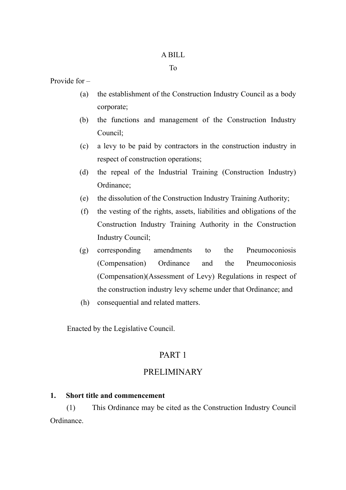### A BILL

#### To

Provide for –

- (a) the establishment of the Construction Industry Council as a body corporate;
- (b) the functions and management of the Construction Industry Council;
- (c) a levy to be paid by contractors in the construction industry in respect of construction operations;
- (d) the repeal of the Industrial Training (Construction Industry) Ordinance;
- (e) the dissolution of the Construction Industry Training Authority;
- (f) the vesting of the rights, assets, liabilities and obligations of the Construction Industry Training Authority in the Construction Industry Council;
- (g) corresponding amendments to the Pneumoconiosis (Compensation) Ordinance and the Pneumoconiosis (Compensation)(Assessment of Levy) Regulations in respect of the construction industry levy scheme under that Ordinance; and
- (h) consequential and related matters.

Enacted by the Legislative Council.

## PART 1

## PRELIMINARY

### **1. Short title and commencement**

(1) This Ordinance may be cited as the Construction Industry Council Ordinance.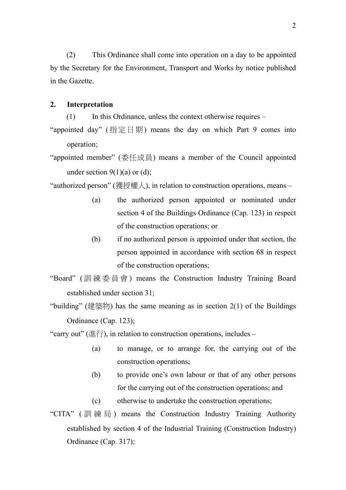(2) This Ordinance shall come into operation on a day to be appointed by the Secretary for the Environment, Transport and Works by notice published in the Gazette.

#### **2. Interpretation**

(1) In this Ordinance, unless the context otherwise requires –

"appointed day" (指定日期) means the day on which Part 9 comes into operation;

"appointed member" (委任成員) means a member of the Council appointed under section  $9(1)(a)$  or (d);

"authorized person" (獲授權人), in relation to construction operations, means –

- (a) the authorized person appointed or nominated under section 4 of the Buildings Ordinance (Cap. 123) in respect of the construction operations; or
- (b) if no authorized person is appointed under that section, the person appointed in accordance with section 68 in respect of the construction operations;

"Board" ( 訓練委員會 ) means the Construction Industry Training Board established under section 31;

"building" (建築物) has the same meaning as in section  $2(1)$  of the Buildings Ordinance (Cap. 123);

"carry out" (進行), in relation to construction operations, includes –

- (a) to manage, or to arrange for, the carrying out of the construction operations;
- (b) to provide one's own labour or that of any other persons for the carrying out of the construction operations; and
- (c) otherwise to undertake the construction operations;
- "CITA" ( 訓練局 ) means the Construction Industry Training Authority established by section 4 of the Industrial Training (Construction Industry) Ordinance (Cap. 317);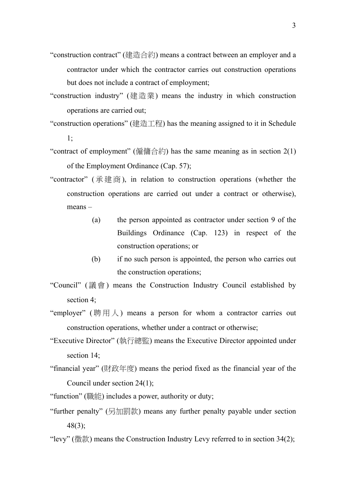- "construction contract" (建造合約) means a contract between an employer and a contractor under which the contractor carries out construction operations but does not include a contract of employment;
- "construction industry" (建造業) means the industry in which construction operations are carried out;
- "construction operations" (建造工程) has the meaning assigned to it in Schedule 1;
- "contract of employment" (僱傭合約) has the same meaning as in section  $2(1)$ of the Employment Ordinance (Cap. 57);
- "contractor" (承建商), in relation to construction operations (whether the construction operations are carried out under a contract or otherwise), means –
	- (a) the person appointed as contractor under section 9 of the Buildings Ordinance (Cap. 123) in respect of the construction operations; or
	- (b) if no such person is appointed, the person who carries out the construction operations;
- "Council" (議會) means the Construction Industry Council established by section 4;
- "employer" (聘用人) means a person for whom a contractor carries out construction operations, whether under a contract or otherwise;
- "Executive Director" (執行總監) means the Executive Director appointed under section 14;
- "financial year" (財政年度) means the period fixed as the financial year of the Council under section 24(1);
- "function" (職能) includes a power, authority or duty;
- "further penalty" (另加罰款) means any further penalty payable under section 48(3);
- "levy" (徵款) means the Construction Industry Levy referred to in section  $34(2)$ ;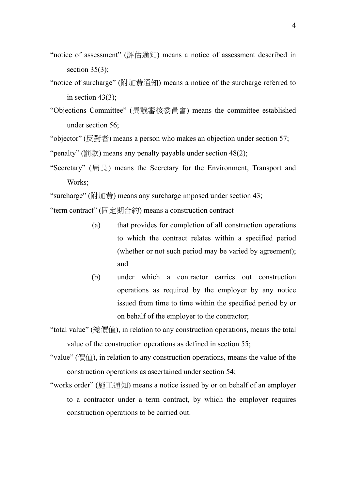- "notice of assessment" (評估通知) means a notice of assessment described in section  $35(3)$ ;
- "notice of surcharge" (附加費通知) means a notice of the surcharge referred to in section  $43(3)$ ;
- "Objections Committee" (異議審核委員會) means the committee established under section 56;

"objector" ( $\boxtimes$ 對者) means a person who makes an objection under section 57; "penalty" (罰款) means any penalty payable under section  $48(2)$ ;

"Secretary" (局長) means the Secretary for the Environment, Transport and Works:

"surcharge" (附加費) means any surcharge imposed under section 43;

"term contract" (固定期合約) means a construction contract –

- (a) that provides for completion of all construction operations to which the contract relates within a specified period (whether or not such period may be varied by agreement); and
- (b) under which a contractor carries out construction operations as required by the employer by any notice issued from time to time within the specified period by or on behalf of the employer to the contractor;

"total value" (總價值), in relation to any construction operations, means the total value of the construction operations as defined in section 55;

- "value" (價值), in relation to any construction operations, means the value of the construction operations as ascertained under section 54;
- "works order" (施工通知) means a notice issued by or on behalf of an employer to a contractor under a term contract, by which the employer requires construction operations to be carried out.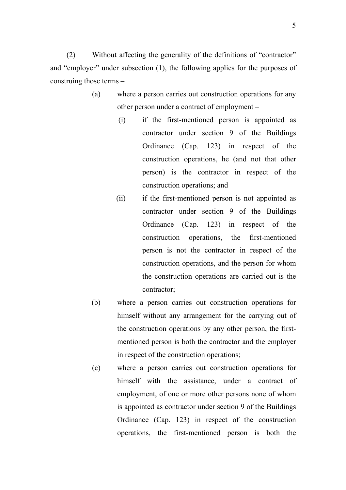(2) Without affecting the generality of the definitions of "contractor" and "employer" under subsection (1), the following applies for the purposes of construing those terms –

- (a) where a person carries out construction operations for any other person under a contract of employment –
	- (i) if the first-mentioned person is appointed as contractor under section 9 of the Buildings Ordinance (Cap. 123) in respect of the construction operations, he (and not that other person) is the contractor in respect of the construction operations; and
	- (ii) if the first-mentioned person is not appointed as contractor under section 9 of the Buildings Ordinance (Cap. 123) in respect of the construction operations, the first-mentioned person is not the contractor in respect of the construction operations, and the person for whom the construction operations are carried out is the contractor;
- (b) where a person carries out construction operations for himself without any arrangement for the carrying out of the construction operations by any other person, the firstmentioned person is both the contractor and the employer in respect of the construction operations;
- (c) where a person carries out construction operations for himself with the assistance, under a contract of employment, of one or more other persons none of whom is appointed as contractor under section 9 of the Buildings Ordinance (Cap. 123) in respect of the construction operations, the first-mentioned person is both the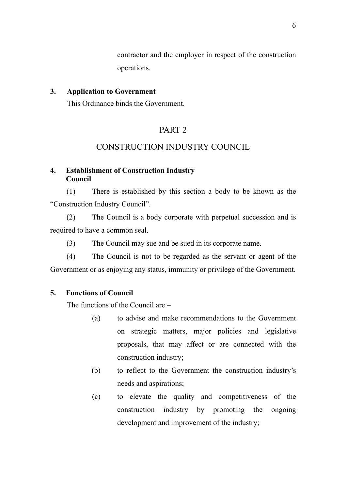contractor and the employer in respect of the construction operations.

### **3. Application to Government**

This Ordinance binds the Government.

## PART 2

## CONSTRUCTION INDUSTRY COUNCIL

### **4. Establishment of Construction Industry Council**

(1) There is established by this section a body to be known as the "Construction Industry Council".

(2) The Council is a body corporate with perpetual succession and is required to have a common seal.

(3) The Council may sue and be sued in its corporate name.

(4) The Council is not to be regarded as the servant or agent of the Government or as enjoying any status, immunity or privilege of the Government.

### **5. Functions of Council**

The functions of the Council are –

- (a) to advise and make recommendations to the Government on strategic matters, major policies and legislative proposals, that may affect or are connected with the construction industry;
- (b) to reflect to the Government the construction industry's needs and aspirations;
- (c) to elevate the quality and competitiveness of the construction industry by promoting the ongoing development and improvement of the industry;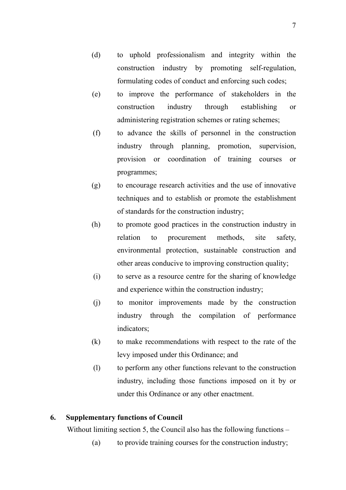- (d) to uphold professionalism and integrity within the construction industry by promoting self-regulation, formulating codes of conduct and enforcing such codes;
- (e) to improve the performance of stakeholders in the construction industry through establishing or administering registration schemes or rating schemes;
- (f) to advance the skills of personnel in the construction industry through planning, promotion, supervision, provision or coordination of training courses or programmes;
- (g) to encourage research activities and the use of innovative techniques and to establish or promote the establishment of standards for the construction industry;
- (h) to promote good practices in the construction industry in relation to procurement methods, site safety, environmental protection, sustainable construction and other areas conducive to improving construction quality;
- (i) to serve as a resource centre for the sharing of knowledge and experience within the construction industry;
- (j) to monitor improvements made by the construction industry through the compilation of performance indicators;
- (k) to make recommendations with respect to the rate of the levy imposed under this Ordinance; and
- (l) to perform any other functions relevant to the construction industry, including those functions imposed on it by or under this Ordinance or any other enactment.

## **6. Supplementary functions of Council**

Without limiting section 5, the Council also has the following functions –

(a) to provide training courses for the construction industry;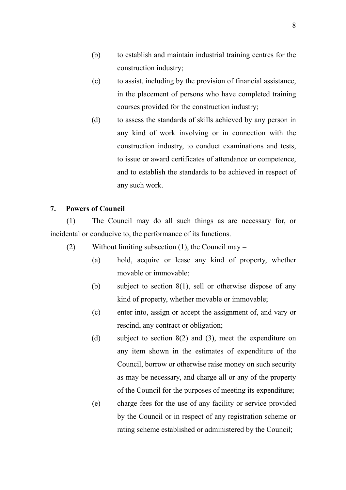- (b) to establish and maintain industrial training centres for the construction industry;
- (c) to assist, including by the provision of financial assistance, in the placement of persons who have completed training courses provided for the construction industry;
- (d) to assess the standards of skills achieved by any person in any kind of work involving or in connection with the construction industry, to conduct examinations and tests, to issue or award certificates of attendance or competence, and to establish the standards to be achieved in respect of any such work.

#### **7. Powers of Council**

(1) The Council may do all such things as are necessary for, or incidental or conducive to, the performance of its functions.

- (2) Without limiting subsection (1), the Council may
	- (a) hold, acquire or lease any kind of property, whether movable or immovable;
	- (b) subject to section 8(1), sell or otherwise dispose of any kind of property, whether movable or immovable;
	- (c) enter into, assign or accept the assignment of, and vary or rescind, any contract or obligation;
	- (d) subject to section 8(2) and (3), meet the expenditure on any item shown in the estimates of expenditure of the Council, borrow or otherwise raise money on such security as may be necessary, and charge all or any of the property of the Council for the purposes of meeting its expenditure;
	- (e) charge fees for the use of any facility or service provided by the Council or in respect of any registration scheme or rating scheme established or administered by the Council;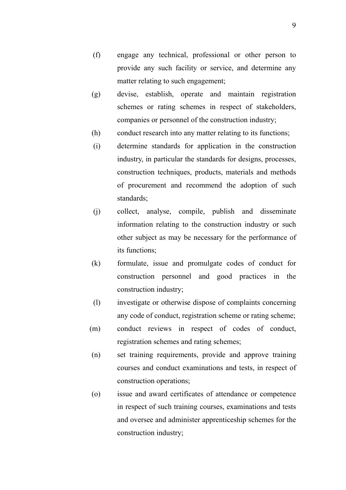- (f) engage any technical, professional or other person to provide any such facility or service, and determine any matter relating to such engagement;
- (g) devise, establish, operate and maintain registration schemes or rating schemes in respect of stakeholders, companies or personnel of the construction industry;
- (h) conduct research into any matter relating to its functions;
- (i) determine standards for application in the construction industry, in particular the standards for designs, processes, construction techniques, products, materials and methods of procurement and recommend the adoption of such standards;
- (j) collect, analyse, compile, publish and disseminate information relating to the construction industry or such other subject as may be necessary for the performance of its functions;
- (k) formulate, issue and promulgate codes of conduct for construction personnel and good practices in the construction industry;
- (l) investigate or otherwise dispose of complaints concerning any code of conduct, registration scheme or rating scheme;
- (m) conduct reviews in respect of codes of conduct, registration schemes and rating schemes;
- (n) set training requirements, provide and approve training courses and conduct examinations and tests, in respect of construction operations;
- (o) issue and award certificates of attendance or competence in respect of such training courses, examinations and tests and oversee and administer apprenticeship schemes for the construction industry;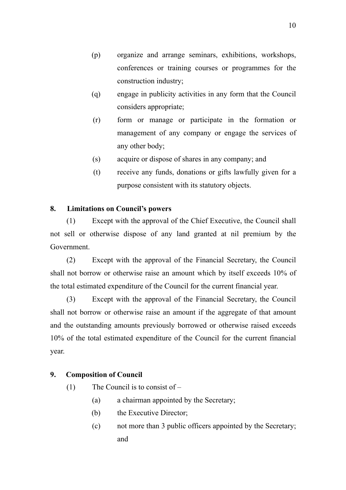- (p) organize and arrange seminars, exhibitions, workshops, conferences or training courses or programmes for the construction industry;
- (q) engage in publicity activities in any form that the Council considers appropriate;
- (r) form or manage or participate in the formation or management of any company or engage the services of any other body;
- (s) acquire or dispose of shares in any company; and
- (t) receive any funds, donations or gifts lawfully given for a purpose consistent with its statutory objects.

### **8. Limitations on Council's powers**

(1) Except with the approval of the Chief Executive, the Council shall not sell or otherwise dispose of any land granted at nil premium by the Government.

(2) Except with the approval of the Financial Secretary, the Council shall not borrow or otherwise raise an amount which by itself exceeds 10% of the total estimated expenditure of the Council for the current financial year.

(3) Except with the approval of the Financial Secretary, the Council shall not borrow or otherwise raise an amount if the aggregate of that amount and the outstanding amounts previously borrowed or otherwise raised exceeds 10% of the total estimated expenditure of the Council for the current financial year.

## **9. Composition of Council**

- (1) The Council is to consist of
	- (a) a chairman appointed by the Secretary;
	- (b) the Executive Director;
	- (c) not more than 3 public officers appointed by the Secretary; and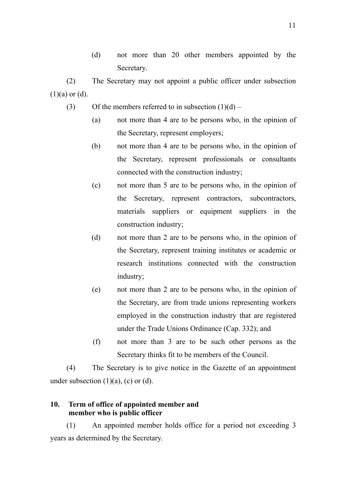(d) not more than 20 other members appointed by the Secretary.

(2) The Secretary may not appoint a public officer under subsection  $(1)(a)$  or  $(d)$ .

- (3) Of the members referred to in subsection  $(1)(d)$ 
	- (a) not more than 4 are to be persons who, in the opinion of the Secretary, represent employers;
	- (b) not more than 4 are to be persons who, in the opinion of the Secretary, represent professionals or consultants connected with the construction industry;
	- (c) not more than 5 are to be persons who, in the opinion of the Secretary, represent contractors, subcontractors, materials suppliers or equipment suppliers in the construction industry;
	- (d) not more than 2 are to be persons who, in the opinion of the Secretary, represent training institutes or academic or research institutions connected with the construction industry;
	- (e) not more than 2 are to be persons who, in the opinion of the Secretary, are from trade unions representing workers employed in the construction industry that are registered under the Trade Unions Ordinance (Cap. 332); and
	- (f) not more than 3 are to be such other persons as the Secretary thinks fit to be members of the Council.

(4) The Secretary is to give notice in the Gazette of an appointment under subsection  $(1)(a)$ ,  $(c)$  or  $(d)$ .

### **10. Term of office of appointed member and member who is public officer**

(1) An appointed member holds office for a period not exceeding 3 years as determined by the Secretary.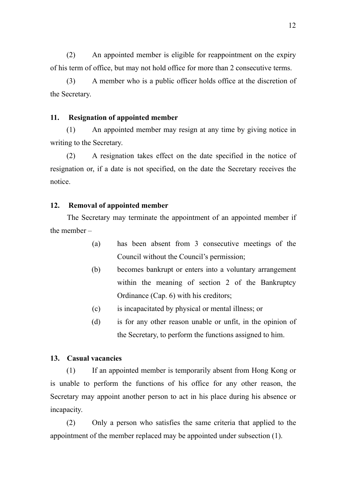(2) An appointed member is eligible for reappointment on the expiry of his term of office, but may not hold office for more than 2 consecutive terms.

(3) A member who is a public officer holds office at the discretion of the Secretary.

#### **11. Resignation of appointed member**

(1) An appointed member may resign at any time by giving notice in writing to the Secretary.

(2) A resignation takes effect on the date specified in the notice of resignation or, if a date is not specified, on the date the Secretary receives the notice.

#### **12. Removal of appointed member**

The Secretary may terminate the appointment of an appointed member if the member –

- (a) has been absent from 3 consecutive meetings of the Council without the Council's permission;
- (b) becomes bankrupt or enters into a voluntary arrangement within the meaning of section 2 of the Bankruptcy Ordinance (Cap. 6) with his creditors;
- (c) is incapacitated by physical or mental illness; or
- (d) is for any other reason unable or unfit, in the opinion of the Secretary, to perform the functions assigned to him.

#### **13. Casual vacancies**

(1) If an appointed member is temporarily absent from Hong Kong or is unable to perform the functions of his office for any other reason, the Secretary may appoint another person to act in his place during his absence or incapacity.

(2) Only a person who satisfies the same criteria that applied to the appointment of the member replaced may be appointed under subsection (1).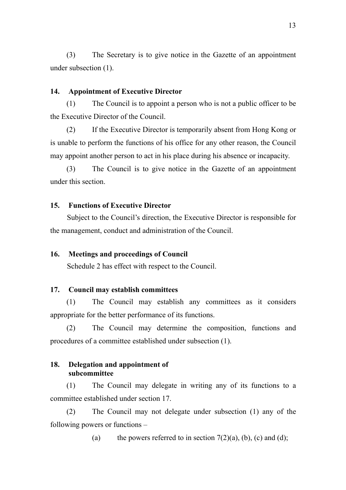(3) The Secretary is to give notice in the Gazette of an appointment under subsection (1).

## **14. Appointment of Executive Director**

(1) The Council is to appoint a person who is not a public officer to be the Executive Director of the Council.

(2) If the Executive Director is temporarily absent from Hong Kong or is unable to perform the functions of his office for any other reason, the Council may appoint another person to act in his place during his absence or incapacity.

(3) The Council is to give notice in the Gazette of an appointment under this section.

### **15. Functions of Executive Director**

Subject to the Council's direction, the Executive Director is responsible for the management, conduct and administration of the Council.

#### **16. Meetings and proceedings of Council**

Schedule 2 has effect with respect to the Council.

#### **17. Council may establish committees**

(1) The Council may establish any committees as it considers appropriate for the better performance of its functions.

(2) The Council may determine the composition, functions and procedures of a committee established under subsection (1).

#### **18. Delegation and appointment of subcommittee**

(1) The Council may delegate in writing any of its functions to a committee established under section 17.

(2) The Council may not delegate under subsection (1) any of the following powers or functions –

(a) the powers referred to in section  $7(2)(a)$ , (b), (c) and (d);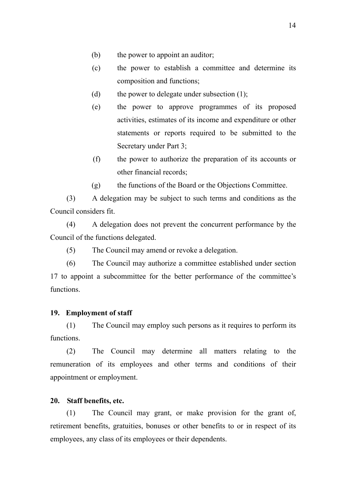- (b) the power to appoint an auditor;
- (c) the power to establish a committee and determine its composition and functions;
- (d) the power to delegate under subsection  $(1)$ ;
- (e) the power to approve programmes of its proposed activities, estimates of its income and expenditure or other statements or reports required to be submitted to the Secretary under Part 3;
- (f) the power to authorize the preparation of its accounts or other financial records;
- (g) the functions of the Board or the Objections Committee.

(3) A delegation may be subject to such terms and conditions as the Council considers fit.

(4) A delegation does not prevent the concurrent performance by the Council of the functions delegated.

(5) The Council may amend or revoke a delegation.

(6) The Council may authorize a committee established under section 17 to appoint a subcommittee for the better performance of the committee's functions.

#### **19. Employment of staff**

(1) The Council may employ such persons as it requires to perform its functions.

(2) The Council may determine all matters relating to the remuneration of its employees and other terms and conditions of their appointment or employment.

#### **20. Staff benefits, etc.**

(1) The Council may grant, or make provision for the grant of, retirement benefits, gratuities, bonuses or other benefits to or in respect of its employees, any class of its employees or their dependents.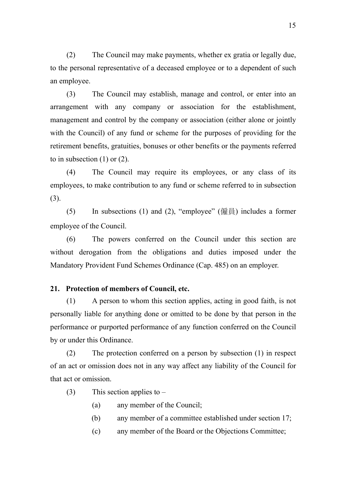(2) The Council may make payments, whether ex gratia or legally due, to the personal representative of a deceased employee or to a dependent of such an employee.

(3) The Council may establish, manage and control, or enter into an arrangement with any company or association for the establishment, management and control by the company or association (either alone or jointly with the Council) of any fund or scheme for the purposes of providing for the retirement benefits, gratuities, bonuses or other benefits or the payments referred to in subsection  $(1)$  or  $(2)$ .

(4) The Council may require its employees, or any class of its employees, to make contribution to any fund or scheme referred to in subsection (3).

(5) In subsections (1) and (2), "employee" (僱員) includes a former employee of the Council.

(6) The powers conferred on the Council under this section are without derogation from the obligations and duties imposed under the Mandatory Provident Fund Schemes Ordinance (Cap. 485) on an employer.

#### **21. Protection of members of Council, etc.**

(1) A person to whom this section applies, acting in good faith, is not personally liable for anything done or omitted to be done by that person in the performance or purported performance of any function conferred on the Council by or under this Ordinance.

(2) The protection conferred on a person by subsection (1) in respect of an act or omission does not in any way affect any liability of the Council for that act or omission.

- (3) This section applies to  $-$ 
	- (a) any member of the Council;
	- (b) any member of a committee established under section 17;
	- (c) any member of the Board or the Objections Committee;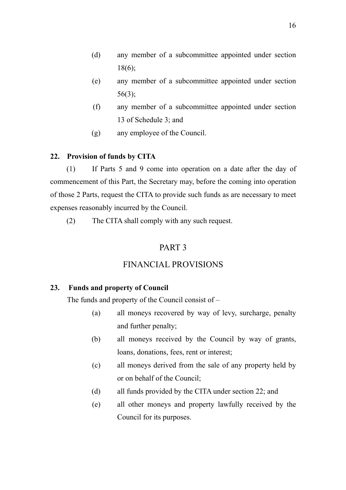- (d) any member of a subcommittee appointed under section 18(6);
- (e) any member of a subcommittee appointed under section 56(3);
- (f) any member of a subcommittee appointed under section 13 of Schedule 3; and
- (g) any employee of the Council.

## **22. Provision of funds by CITA**

(1) If Parts 5 and 9 come into operation on a date after the day of commencement of this Part, the Secretary may, before the coming into operation of those 2 Parts, request the CITA to provide such funds as are necessary to meet expenses reasonably incurred by the Council.

(2) The CITA shall comply with any such request.

## PART 3

## FINANCIAL PROVISIONS

## **23. Funds and property of Council**

The funds and property of the Council consist of –

- (a) all moneys recovered by way of levy, surcharge, penalty and further penalty;
- (b) all moneys received by the Council by way of grants, loans, donations, fees, rent or interest;
- (c) all moneys derived from the sale of any property held by or on behalf of the Council;
- (d) all funds provided by the CITA under section 22; and
- (e) all other moneys and property lawfully received by the Council for its purposes.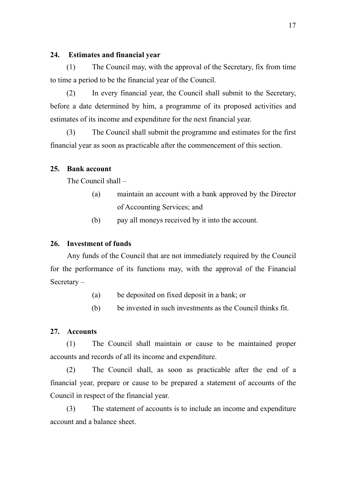### **24. Estimates and financial year**

(1) The Council may, with the approval of the Secretary, fix from time to time a period to be the financial year of the Council.

(2) In every financial year, the Council shall submit to the Secretary, before a date determined by him, a programme of its proposed activities and estimates of its income and expenditure for the next financial year.

(3) The Council shall submit the programme and estimates for the first financial year as soon as practicable after the commencement of this section.

### **25. Bank account**

The Council shall –

- (a) maintain an account with a bank approved by the Director of Accounting Services; and
- (b) pay all moneys received by it into the account.

## **26. Investment of funds**

Any funds of the Council that are not immediately required by the Council for the performance of its functions may, with the approval of the Financial Secretary –

- (a) be deposited on fixed deposit in a bank; or
- (b) be invested in such investments as the Council thinks fit.

### **27. Accounts**

(1) The Council shall maintain or cause to be maintained proper accounts and records of all its income and expenditure.

(2) The Council shall, as soon as practicable after the end of a financial year, prepare or cause to be prepared a statement of accounts of the Council in respect of the financial year.

(3) The statement of accounts is to include an income and expenditure account and a balance sheet.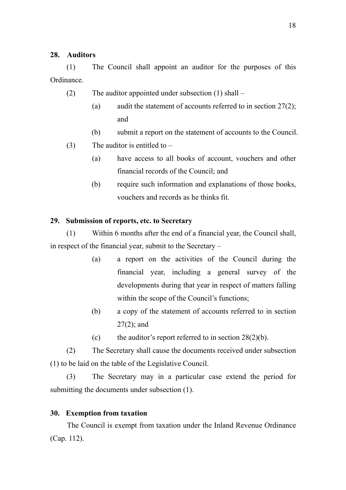### **28. Auditors**

(1) The Council shall appoint an auditor for the purposes of this Ordinance.

- (2) The auditor appointed under subsection (1) shall
	- (a) audit the statement of accounts referred to in section  $27(2)$ ; and
	- (b) submit a report on the statement of accounts to the Council.
- (3) The auditor is entitled to  $-$ 
	- (a) have access to all books of account, vouchers and other financial records of the Council; and
	- (b) require such information and explanations of those books, vouchers and records as he thinks fit.

#### **29. Submission of reports, etc. to Secretary**

(1) Within 6 months after the end of a financial year, the Council shall, in respect of the financial year, submit to the Secretary –

- (a) a report on the activities of the Council during the financial year, including a general survey of the developments during that year in respect of matters falling within the scope of the Council's functions;
- (b) a copy of the statement of accounts referred to in section 27(2); and
- (c) the auditor's report referred to in section  $28(2)(b)$ .

(2) The Secretary shall cause the documents received under subsection (1) to be laid on the table of the Legislative Council.

(3) The Secretary may in a particular case extend the period for submitting the documents under subsection (1).

### **30. Exemption from taxation**

The Council is exempt from taxation under the Inland Revenue Ordinance (Cap. 112).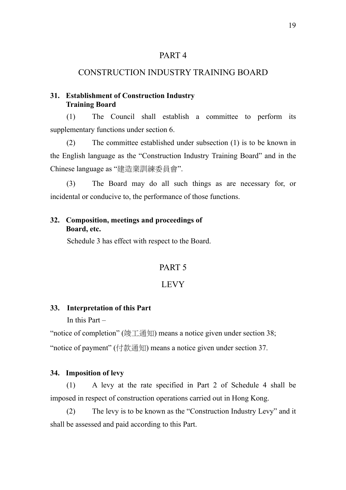## CONSTRUCTION INDUSTRY TRAINING BOARD

### **31. Establishment of Construction Industry Training Board**

(1) The Council shall establish a committee to perform its supplementary functions under section 6.

(2) The committee established under subsection (1) is to be known in the English language as the "Construction Industry Training Board" and in the Chinese language as "建造業訓練委員會".

(3) The Board may do all such things as are necessary for, or incidental or conducive to, the performance of those functions.

### **32. Composition, meetings and proceedings of Board, etc.**

Schedule 3 has effect with respect to the Board.

## PART 5

## LEVY

#### **33. Interpretation of this Part**

In this Part –

"notice of completion" (竣工通知) means a notice given under section 38;

"notice of payment" (付款通知) means a notice given under section 37.

#### **34. Imposition of levy**

(1) A levy at the rate specified in Part 2 of Schedule 4 shall be imposed in respect of construction operations carried out in Hong Kong.

(2) The levy is to be known as the "Construction Industry Levy" and it shall be assessed and paid according to this Part.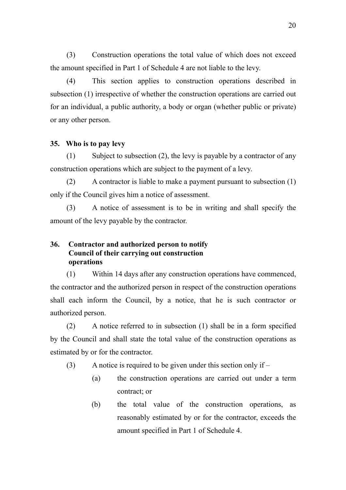(3) Construction operations the total value of which does not exceed the amount specified in Part 1 of Schedule 4 are not liable to the levy.

(4) This section applies to construction operations described in subsection (1) irrespective of whether the construction operations are carried out for an individual, a public authority, a body or organ (whether public or private) or any other person.

#### **35. Who is to pay levy**

(1) Subject to subsection (2), the levy is payable by a contractor of any construction operations which are subject to the payment of a levy.

(2) A contractor is liable to make a payment pursuant to subsection (1) only if the Council gives him a notice of assessment.

(3) A notice of assessment is to be in writing and shall specify the amount of the levy payable by the contractor.

### **36. Contractor and authorized person to notify Council of their carrying out construction operations**

(1) Within 14 days after any construction operations have commenced, the contractor and the authorized person in respect of the construction operations shall each inform the Council, by a notice, that he is such contractor or authorized person.

(2) A notice referred to in subsection (1) shall be in a form specified by the Council and shall state the total value of the construction operations as estimated by or for the contractor.

- (3) A notice is required to be given under this section only if  $-$ 
	- (a) the construction operations are carried out under a term contract; or
	- (b) the total value of the construction operations, as reasonably estimated by or for the contractor, exceeds the amount specified in Part 1 of Schedule 4.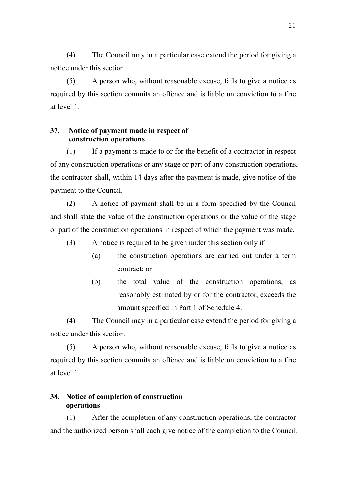(4) The Council may in a particular case extend the period for giving a notice under this section.

(5) A person who, without reasonable excuse, fails to give a notice as required by this section commits an offence and is liable on conviction to a fine at level 1.

### **37. Notice of payment made in respect of construction operations**

(1) If a payment is made to or for the benefit of a contractor in respect of any construction operations or any stage or part of any construction operations, the contractor shall, within 14 days after the payment is made, give notice of the payment to the Council.

(2) A notice of payment shall be in a form specified by the Council and shall state the value of the construction operations or the value of the stage or part of the construction operations in respect of which the payment was made.

(3) A notice is required to be given under this section only if –

- (a) the construction operations are carried out under a term contract; or
- (b) the total value of the construction operations, as reasonably estimated by or for the contractor, exceeds the amount specified in Part 1 of Schedule 4.

(4) The Council may in a particular case extend the period for giving a notice under this section.

(5) A person who, without reasonable excuse, fails to give a notice as required by this section commits an offence and is liable on conviction to a fine at level 1.

## **38. Notice of completion of construction operations**

(1) After the completion of any construction operations, the contractor and the authorized person shall each give notice of the completion to the Council.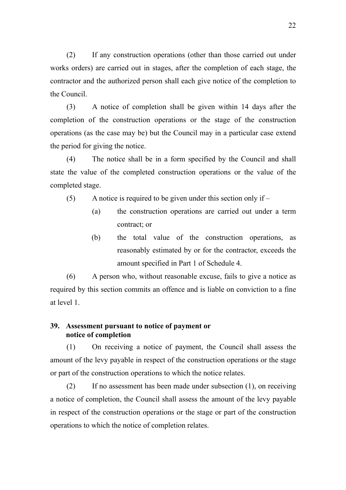(2) If any construction operations (other than those carried out under works orders) are carried out in stages, after the completion of each stage, the contractor and the authorized person shall each give notice of the completion to the Council.

(3) A notice of completion shall be given within 14 days after the completion of the construction operations or the stage of the construction operations (as the case may be) but the Council may in a particular case extend the period for giving the notice.

(4) The notice shall be in a form specified by the Council and shall state the value of the completed construction operations or the value of the completed stage.

(5) A notice is required to be given under this section only if –

- (a) the construction operations are carried out under a term contract; or
- (b) the total value of the construction operations, as reasonably estimated by or for the contractor, exceeds the amount specified in Part 1 of Schedule 4.

(6) A person who, without reasonable excuse, fails to give a notice as required by this section commits an offence and is liable on conviction to a fine at level 1.

## **39. Assessment pursuant to notice of payment or notice of completion**

(1) On receiving a notice of payment, the Council shall assess the amount of the levy payable in respect of the construction operations or the stage or part of the construction operations to which the notice relates.

(2) If no assessment has been made under subsection (1), on receiving a notice of completion, the Council shall assess the amount of the levy payable in respect of the construction operations or the stage or part of the construction operations to which the notice of completion relates.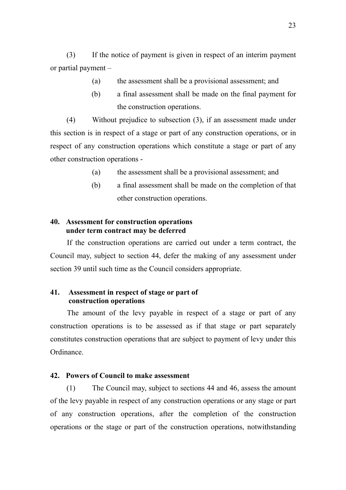(3) If the notice of payment is given in respect of an interim payment or partial payment –

- (a) the assessment shall be a provisional assessment; and
- (b) a final assessment shall be made on the final payment for the construction operations.

(4) Without prejudice to subsection (3), if an assessment made under this section is in respect of a stage or part of any construction operations, or in respect of any construction operations which constitute a stage or part of any other construction operations -

- (a) the assessment shall be a provisional assessment; and
- (b) a final assessment shall be made on the completion of that other construction operations.

### **40. Assessment for construction operations under term contract may be deferred**

If the construction operations are carried out under a term contract, the Council may, subject to section 44, defer the making of any assessment under section 39 until such time as the Council considers appropriate.

### **41. Assessment in respect of stage or part of construction operations**

The amount of the levy payable in respect of a stage or part of any construction operations is to be assessed as if that stage or part separately constitutes construction operations that are subject to payment of levy under this Ordinance.

#### **42. Powers of Council to make assessment**

(1) The Council may, subject to sections 44 and 46, assess the amount of the levy payable in respect of any construction operations or any stage or part of any construction operations, after the completion of the construction operations or the stage or part of the construction operations, notwithstanding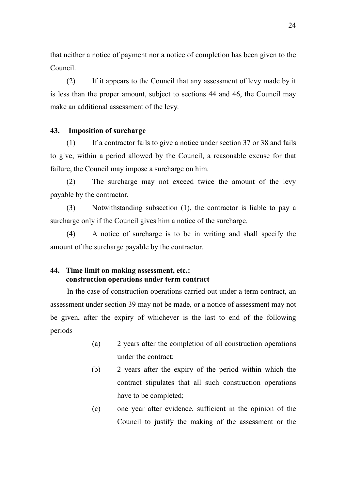that neither a notice of payment nor a notice of completion has been given to the Council.

(2) If it appears to the Council that any assessment of levy made by it is less than the proper amount, subject to sections 44 and 46, the Council may make an additional assessment of the levy.

#### **43. Imposition of surcharge**

(1) If a contractor fails to give a notice under section 37 or 38 and fails to give, within a period allowed by the Council, a reasonable excuse for that failure, the Council may impose a surcharge on him.

(2) The surcharge may not exceed twice the amount of the levy payable by the contractor.

(3) Notwithstanding subsection (1), the contractor is liable to pay a surcharge only if the Council gives him a notice of the surcharge.

(4) A notice of surcharge is to be in writing and shall specify the amount of the surcharge payable by the contractor.

## **44. Time limit on making assessment, etc.: construction operations under term contract**

In the case of construction operations carried out under a term contract, an assessment under section 39 may not be made, or a notice of assessment may not be given, after the expiry of whichever is the last to end of the following periods –

- (a) 2 years after the completion of all construction operations under the contract;
- (b) 2 years after the expiry of the period within which the contract stipulates that all such construction operations have to be completed;
- (c) one year after evidence, sufficient in the opinion of the Council to justify the making of the assessment or the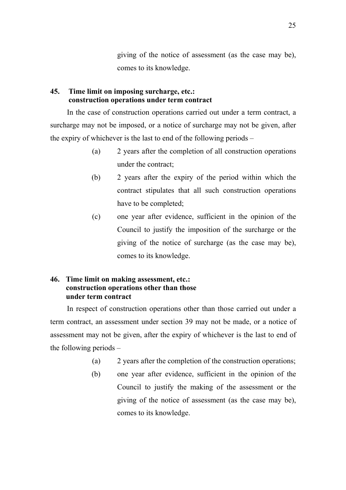giving of the notice of assessment (as the case may be), comes to its knowledge.

## **45. Time limit on imposing surcharge, etc.: construction operations under term contract**

In the case of construction operations carried out under a term contract, a surcharge may not be imposed, or a notice of surcharge may not be given, after the expiry of whichever is the last to end of the following periods –

- (a) 2 years after the completion of all construction operations under the contract;
- (b) 2 years after the expiry of the period within which the contract stipulates that all such construction operations have to be completed;
- (c) one year after evidence, sufficient in the opinion of the Council to justify the imposition of the surcharge or the giving of the notice of surcharge (as the case may be), comes to its knowledge.

## **46. Time limit on making assessment, etc.: construction operations other than those under term contract**

In respect of construction operations other than those carried out under a term contract, an assessment under section 39 may not be made, or a notice of assessment may not be given, after the expiry of whichever is the last to end of the following periods –

- (a) 2 years after the completion of the construction operations;
- (b) one year after evidence, sufficient in the opinion of the Council to justify the making of the assessment or the giving of the notice of assessment (as the case may be), comes to its knowledge.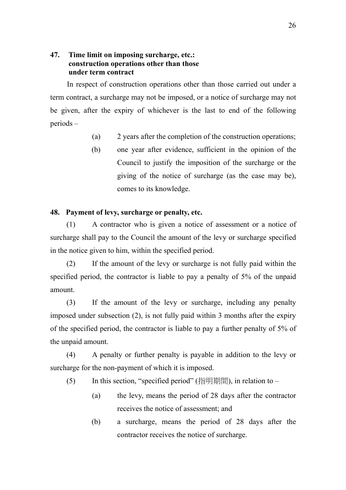## **47. Time limit on imposing surcharge, etc.: construction operations other than those under term contract**

In respect of construction operations other than those carried out under a term contract, a surcharge may not be imposed, or a notice of surcharge may not be given, after the expiry of whichever is the last to end of the following periods –

- (a) 2 years after the completion of the construction operations;
- (b) one year after evidence, sufficient in the opinion of the Council to justify the imposition of the surcharge or the giving of the notice of surcharge (as the case may be), comes to its knowledge.

### **48. Payment of levy, surcharge or penalty, etc.**

(1) A contractor who is given a notice of assessment or a notice of surcharge shall pay to the Council the amount of the levy or surcharge specified in the notice given to him, within the specified period.

(2) If the amount of the levy or surcharge is not fully paid within the specified period, the contractor is liable to pay a penalty of 5% of the unpaid amount.

(3) If the amount of the levy or surcharge, including any penalty imposed under subsection (2), is not fully paid within 3 months after the expiry of the specified period, the contractor is liable to pay a further penalty of 5% of the unpaid amount.

(4) A penalty or further penalty is payable in addition to the levy or surcharge for the non-payment of which it is imposed.

- (5) In this section, "specified period" (指明期間), in relation to
	- (a) the levy, means the period of 28 days after the contractor receives the notice of assessment; and
	- (b) a surcharge, means the period of 28 days after the contractor receives the notice of surcharge.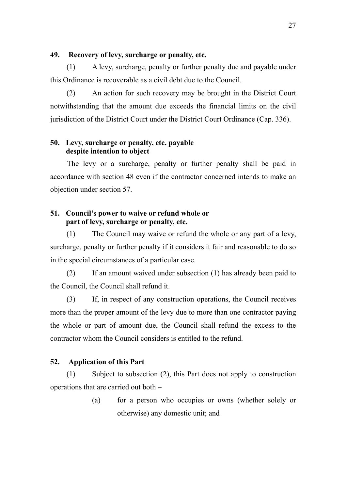## **49. Recovery of levy, surcharge or penalty, etc.**

(1) A levy, surcharge, penalty or further penalty due and payable under this Ordinance is recoverable as a civil debt due to the Council.

(2) An action for such recovery may be brought in the District Court notwithstanding that the amount due exceeds the financial limits on the civil jurisdiction of the District Court under the District Court Ordinance (Cap. 336).

## **50. Levy, surcharge or penalty, etc. payable despite intention to object**

The levy or a surcharge, penalty or further penalty shall be paid in accordance with section 48 even if the contractor concerned intends to make an objection under section 57.

## **51. Council's power to waive or refund whole or part of levy, surcharge or penalty, etc.**

(1) The Council may waive or refund the whole or any part of a levy, surcharge, penalty or further penalty if it considers it fair and reasonable to do so in the special circumstances of a particular case.

(2) If an amount waived under subsection (1) has already been paid to the Council, the Council shall refund it.

(3) If, in respect of any construction operations, the Council receives more than the proper amount of the levy due to more than one contractor paying the whole or part of amount due, the Council shall refund the excess to the contractor whom the Council considers is entitled to the refund.

## **52. Application of this Part**

(1) Subject to subsection (2), this Part does not apply to construction operations that are carried out both –

> (a) for a person who occupies or owns (whether solely or otherwise) any domestic unit; and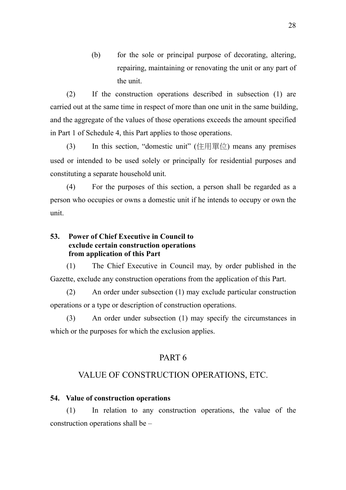(b) for the sole or principal purpose of decorating, altering, repairing, maintaining or renovating the unit or any part of the unit.

(2) If the construction operations described in subsection (1) are carried out at the same time in respect of more than one unit in the same building, and the aggregate of the values of those operations exceeds the amount specified in Part 1 of Schedule 4, this Part applies to those operations.

(3) In this section, "domestic unit" (住用單位) means any premises used or intended to be used solely or principally for residential purposes and constituting a separate household unit.

(4) For the purposes of this section, a person shall be regarded as a person who occupies or owns a domestic unit if he intends to occupy or own the unit.

## **53. Power of Chief Executive in Council to exclude certain construction operations from application of this Part**

(1) The Chief Executive in Council may, by order published in the Gazette, exclude any construction operations from the application of this Part.

(2) An order under subsection (1) may exclude particular construction operations or a type or description of construction operations.

(3) An order under subsection (1) may specify the circumstances in which or the purposes for which the exclusion applies.

# PART 6

# VALUE OF CONSTRUCTION OPERATIONS, ETC.

## **54. Value of construction operations**

(1) In relation to any construction operations, the value of the construction operations shall be –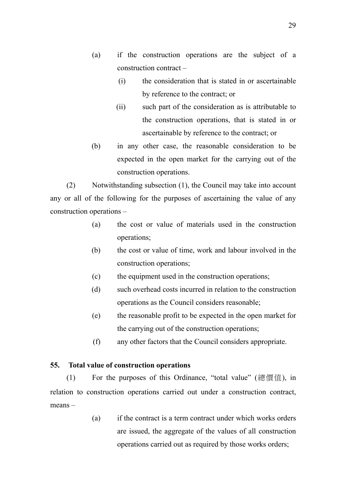- (a) if the construction operations are the subject of a construction contract –
	- (i) the consideration that is stated in or ascertainable by reference to the contract; or
	- (ii) such part of the consideration as is attributable to the construction operations, that is stated in or ascertainable by reference to the contract; or
- (b) in any other case, the reasonable consideration to be expected in the open market for the carrying out of the construction operations.

(2) Notwithstanding subsection (1), the Council may take into account any or all of the following for the purposes of ascertaining the value of any construction operations –

- (a) the cost or value of materials used in the construction operations;
- (b) the cost or value of time, work and labour involved in the construction operations;
- (c) the equipment used in the construction operations;
- (d) such overhead costs incurred in relation to the construction operations as the Council considers reasonable;
- (e) the reasonable profit to be expected in the open market for the carrying out of the construction operations;
- (f) any other factors that the Council considers appropriate.

## **55. Total value of construction operations**

(1) For the purposes of this Ordinance, "total value" (總價值), in relation to construction operations carried out under a construction contract, means –

> (a) if the contract is a term contract under which works orders are issued, the aggregate of the values of all construction operations carried out as required by those works orders;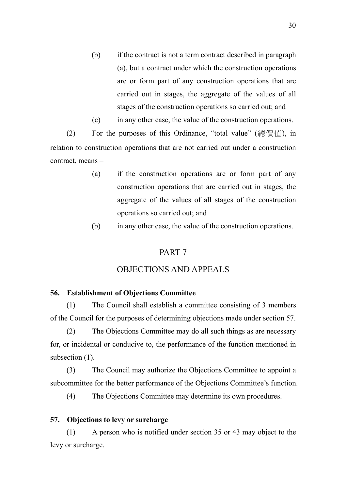- (b) if the contract is not a term contract described in paragraph (a), but a contract under which the construction operations are or form part of any construction operations that are carried out in stages, the aggregate of the values of all stages of the construction operations so carried out; and
- (c) in any other case, the value of the construction operations.

(2) For the purposes of this Ordinance, "total value" (總價值), in relation to construction operations that are not carried out under a construction contract, means –

- (a) if the construction operations are or form part of any construction operations that are carried out in stages, the aggregate of the values of all stages of the construction operations so carried out; and
- (b) in any other case, the value of the construction operations.

## PART 7

## OBJECTIONS AND APPEALS

### **56. Establishment of Objections Committee**

(1) The Council shall establish a committee consisting of 3 members of the Council for the purposes of determining objections made under section 57.

(2) The Objections Committee may do all such things as are necessary for, or incidental or conducive to, the performance of the function mentioned in subsection  $(1)$ .

(3) The Council may authorize the Objections Committee to appoint a subcommittee for the better performance of the Objections Committee's function.

(4) The Objections Committee may determine its own procedures.

#### **57. Objections to levy or surcharge**

(1) A person who is notified under section 35 or 43 may object to the levy or surcharge.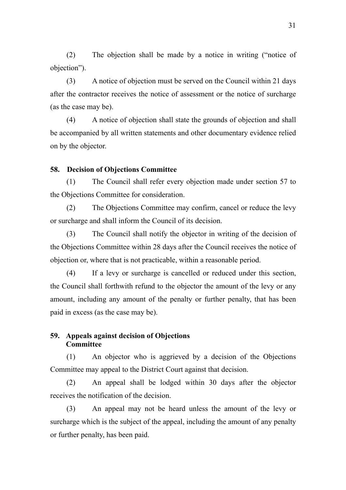(2) The objection shall be made by a notice in writing ("notice of objection").

(3) A notice of objection must be served on the Council within 21 days after the contractor receives the notice of assessment or the notice of surcharge (as the case may be).

(4) A notice of objection shall state the grounds of objection and shall be accompanied by all written statements and other documentary evidence relied on by the objector.

### **58. Decision of Objections Committee**

(1) The Council shall refer every objection made under section 57 to the Objections Committee for consideration.

(2) The Objections Committee may confirm, cancel or reduce the levy or surcharge and shall inform the Council of its decision.

(3) The Council shall notify the objector in writing of the decision of the Objections Committee within 28 days after the Council receives the notice of objection or, where that is not practicable, within a reasonable period.

(4) If a levy or surcharge is cancelled or reduced under this section, the Council shall forthwith refund to the objector the amount of the levy or any amount, including any amount of the penalty or further penalty, that has been paid in excess (as the case may be).

### **59. Appeals against decision of Objections Committee**

(1) An objector who is aggrieved by a decision of the Objections Committee may appeal to the District Court against that decision.

(2) An appeal shall be lodged within 30 days after the objector receives the notification of the decision.

(3) An appeal may not be heard unless the amount of the levy or surcharge which is the subject of the appeal, including the amount of any penalty or further penalty, has been paid.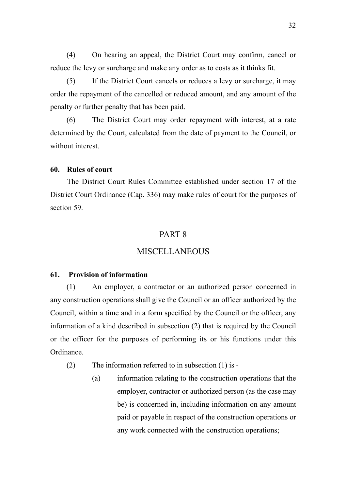(4) On hearing an appeal, the District Court may confirm, cancel or reduce the levy or surcharge and make any order as to costs as it thinks fit.

(5) If the District Court cancels or reduces a levy or surcharge, it may order the repayment of the cancelled or reduced amount, and any amount of the penalty or further penalty that has been paid.

(6) The District Court may order repayment with interest, at a rate determined by the Court, calculated from the date of payment to the Council, or without interest

### **60. Rules of court**

The District Court Rules Committee established under section 17 of the District Court Ordinance (Cap. 336) may make rules of court for the purposes of section 59.

## PART 8

## MISCELLANEOUS

#### **61. Provision of information**

(1) An employer, a contractor or an authorized person concerned in any construction operations shall give the Council or an officer authorized by the Council, within a time and in a form specified by the Council or the officer, any information of a kind described in subsection (2) that is required by the Council or the officer for the purposes of performing its or his functions under this Ordinance.

(2) The information referred to in subsection (1) is -

(a) information relating to the construction operations that the employer, contractor or authorized person (as the case may be) is concerned in, including information on any amount paid or payable in respect of the construction operations or any work connected with the construction operations;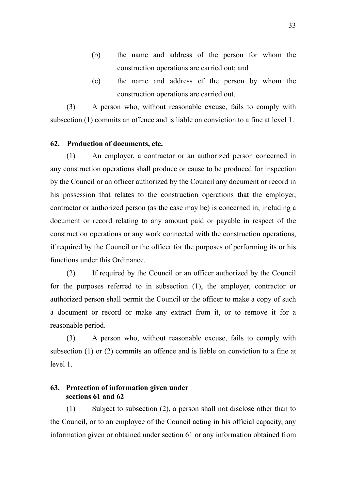- (b) the name and address of the person for whom the construction operations are carried out; and
- (c) the name and address of the person by whom the construction operations are carried out.

(3) A person who, without reasonable excuse, fails to comply with subsection (1) commits an offence and is liable on conviction to a fine at level 1.

### **62. Production of documents, etc.**

(1) An employer, a contractor or an authorized person concerned in any construction operations shall produce or cause to be produced for inspection by the Council or an officer authorized by the Council any document or record in his possession that relates to the construction operations that the employer, contractor or authorized person (as the case may be) is concerned in, including a document or record relating to any amount paid or payable in respect of the construction operations or any work connected with the construction operations, if required by the Council or the officer for the purposes of performing its or his functions under this Ordinance.

(2) If required by the Council or an officer authorized by the Council for the purposes referred to in subsection (1), the employer, contractor or authorized person shall permit the Council or the officer to make a copy of such a document or record or make any extract from it, or to remove it for a reasonable period.

(3) A person who, without reasonable excuse, fails to comply with subsection (1) or (2) commits an offence and is liable on conviction to a fine at level 1.

## **63. Protection of information given under sections 61 and 62**

(1) Subject to subsection (2), a person shall not disclose other than to the Council, or to an employee of the Council acting in his official capacity, any information given or obtained under section 61 or any information obtained from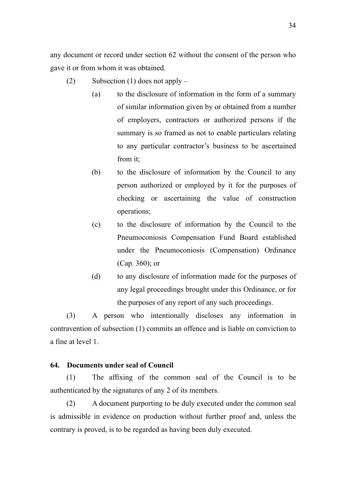any document or record under section 62 without the consent of the person who gave it or from whom it was obtained.

- (2) Subsection (1) does not apply
	- (a) to the disclosure of information in the form of a summary of similar information given by or obtained from a number of employers, contractors or authorized persons if the summary is so framed as not to enable particulars relating to any particular contractor's business to be ascertained from it;
	- (b) to the disclosure of information by the Council to any person authorized or employed by it for the purposes of checking or ascertaining the value of construction operations;
	- (c) to the disclosure of information by the Council to the Pneumoconiosis Compensation Fund Board established under the Pneumoconiosis (Compensation) Ordinance (Cap. 360); or
	- (d) to any disclosure of information made for the purposes of any legal proceedings brought under this Ordinance, or for the purposes of any report of any such proceedings.

(3) A person who intentionally discloses any information in contravention of subsection (1) commits an offence and is liable on conviction to a fine at level 1.

#### **64. Documents under seal of Council**

(1) The affixing of the common seal of the Council is to be authenticated by the signatures of any 2 of its members.

(2) A document purporting to be duly executed under the common seal is admissible in evidence on production without further proof and, unless the contrary is proved, is to be regarded as having been duly executed.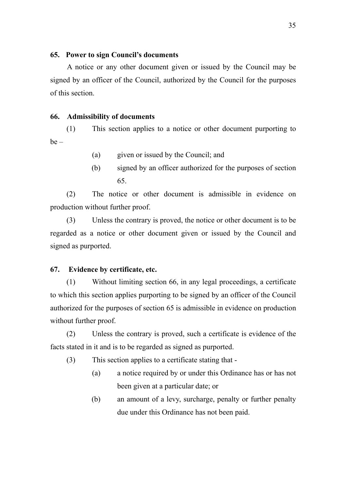### **65. Power to sign Council's documents**

A notice or any other document given or issued by the Council may be signed by an officer of the Council, authorized by the Council for the purposes of this section.

#### **66. Admissibility of documents**

(1) This section applies to a notice or other document purporting to  $be -$ 

- (a) given or issued by the Council; and
- (b) signed by an officer authorized for the purposes of section 65.

(2) The notice or other document is admissible in evidence on production without further proof.

(3) Unless the contrary is proved, the notice or other document is to be regarded as a notice or other document given or issued by the Council and signed as purported.

#### **67. Evidence by certificate, etc.**

(1) Without limiting section 66, in any legal proceedings, a certificate to which this section applies purporting to be signed by an officer of the Council authorized for the purposes of section 65 is admissible in evidence on production without further proof.

(2) Unless the contrary is proved, such a certificate is evidence of the facts stated in it and is to be regarded as signed as purported.

(3) This section applies to a certificate stating that -

- (a) a notice required by or under this Ordinance has or has not been given at a particular date; or
- (b) an amount of a levy, surcharge, penalty or further penalty due under this Ordinance has not been paid.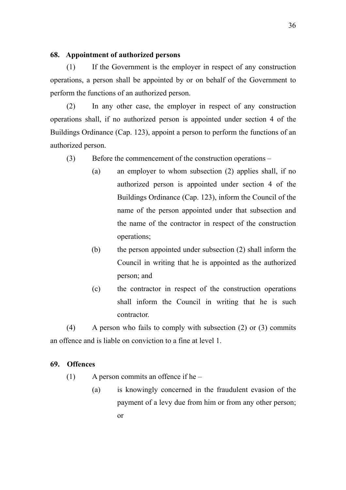### **68. Appointment of authorized persons**

(1) If the Government is the employer in respect of any construction operations, a person shall be appointed by or on behalf of the Government to perform the functions of an authorized person.

(2) In any other case, the employer in respect of any construction operations shall, if no authorized person is appointed under section 4 of the Buildings Ordinance (Cap. 123), appoint a person to perform the functions of an authorized person.

- (3) Before the commencement of the construction operations
	- (a) an employer to whom subsection (2) applies shall, if no authorized person is appointed under section 4 of the Buildings Ordinance (Cap. 123), inform the Council of the name of the person appointed under that subsection and the name of the contractor in respect of the construction operations;
	- (b) the person appointed under subsection (2) shall inform the Council in writing that he is appointed as the authorized person; and
	- (c) the contractor in respect of the construction operations shall inform the Council in writing that he is such contractor.

(4) A person who fails to comply with subsection (2) or (3) commits an offence and is liable on conviction to a fine at level 1.

## **69. Offences**

- (1) A person commits an offence if he
	- (a) is knowingly concerned in the fraudulent evasion of the payment of a levy due from him or from any other person; or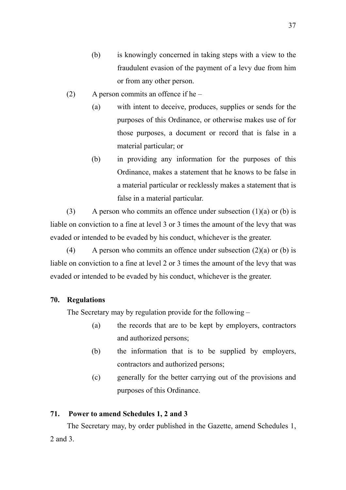- (b) is knowingly concerned in taking steps with a view to the fraudulent evasion of the payment of a levy due from him or from any other person.
- (2) A person commits an offence if he
	- (a) with intent to deceive, produces, supplies or sends for the purposes of this Ordinance, or otherwise makes use of for those purposes, a document or record that is false in a material particular; or
	- (b) in providing any information for the purposes of this Ordinance, makes a statement that he knows to be false in a material particular or recklessly makes a statement that is false in a material particular.

(3) A person who commits an offence under subsection  $(1)(a)$  or  $(b)$  is liable on conviction to a fine at level 3 or 3 times the amount of the levy that was evaded or intended to be evaded by his conduct, whichever is the greater.

(4) A person who commits an offence under subsection  $(2)(a)$  or (b) is liable on conviction to a fine at level 2 or 3 times the amount of the levy that was evaded or intended to be evaded by his conduct, whichever is the greater.

## **70. Regulations**

The Secretary may by regulation provide for the following –

- (a) the records that are to be kept by employers, contractors and authorized persons;
- (b) the information that is to be supplied by employers, contractors and authorized persons;
- (c) generally for the better carrying out of the provisions and purposes of this Ordinance.

## **71. Power to amend Schedules 1, 2 and 3**

The Secretary may, by order published in the Gazette, amend Schedules 1, 2 and 3.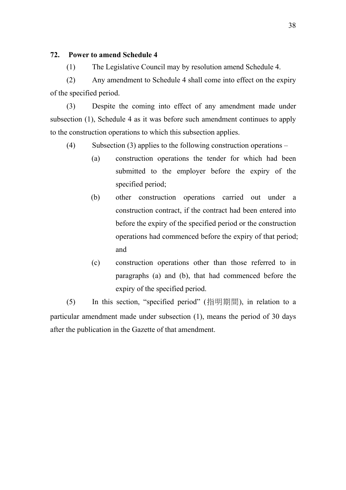### **72. Power to amend Schedule 4**

(1) The Legislative Council may by resolution amend Schedule 4.

(2) Any amendment to Schedule 4 shall come into effect on the expiry of the specified period.

(3) Despite the coming into effect of any amendment made under subsection (1), Schedule 4 as it was before such amendment continues to apply to the construction operations to which this subsection applies.

- (4) Subsection (3) applies to the following construction operations
	- (a) construction operations the tender for which had been submitted to the employer before the expiry of the specified period;
	- (b) other construction operations carried out under a construction contract, if the contract had been entered into before the expiry of the specified period or the construction operations had commenced before the expiry of that period; and
	- (c) construction operations other than those referred to in paragraphs (a) and (b), that had commenced before the expiry of the specified period.

(5) In this section, "specified period" (指明期間), in relation to a particular amendment made under subsection (1), means the period of 30 days after the publication in the Gazette of that amendment.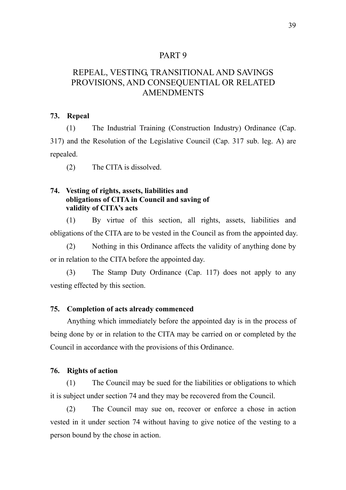## PART 9

# REPEAL, VESTING, TRANSITIONAL AND SAVINGS PROVISIONS, AND CONSEQUENTIAL OR RELATED AMENDMENTS

#### **73. Repeal**

(1) The Industrial Training (Construction Industry) Ordinance (Cap. 317) and the Resolution of the Legislative Council (Cap. 317 sub. leg. A) are repealed.

(2) The CITA is dissolved.

### **74. Vesting of rights, assets, liabilities and obligations of CITA in Council and saving of validity of CITA's acts**

(1) By virtue of this section, all rights, assets, liabilities and obligations of the CITA are to be vested in the Council as from the appointed day.

(2) Nothing in this Ordinance affects the validity of anything done by or in relation to the CITA before the appointed day.

(3) The Stamp Duty Ordinance (Cap. 117) does not apply to any vesting effected by this section.

### **75. Completion of acts already commenced**

Anything which immediately before the appointed day is in the process of being done by or in relation to the CITA may be carried on or completed by the Council in accordance with the provisions of this Ordinance.

#### **76. Rights of action**

(1) The Council may be sued for the liabilities or obligations to which it is subject under section 74 and they may be recovered from the Council.

(2) The Council may sue on, recover or enforce a chose in action vested in it under section 74 without having to give notice of the vesting to a person bound by the chose in action.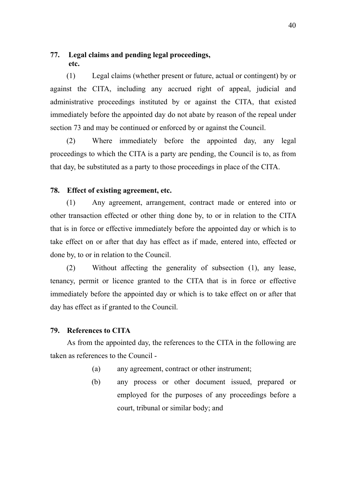## **77. Legal claims and pending legal proceedings, etc.**

(1) Legal claims (whether present or future, actual or contingent) by or against the CITA, including any accrued right of appeal, judicial and administrative proceedings instituted by or against the CITA, that existed immediately before the appointed day do not abate by reason of the repeal under section 73 and may be continued or enforced by or against the Council.

(2) Where immediately before the appointed day, any legal proceedings to which the CITA is a party are pending, the Council is to, as from that day, be substituted as a party to those proceedings in place of the CITA.

## **78. Effect of existing agreement, etc.**

(1) Any agreement, arrangement, contract made or entered into or other transaction effected or other thing done by, to or in relation to the CITA that is in force or effective immediately before the appointed day or which is to take effect on or after that day has effect as if made, entered into, effected or done by, to or in relation to the Council.

(2) Without affecting the generality of subsection (1), any lease, tenancy, permit or licence granted to the CITA that is in force or effective immediately before the appointed day or which is to take effect on or after that day has effect as if granted to the Council.

### **79. References to CITA**

As from the appointed day, the references to the CITA in the following are taken as references to the Council -

- (a) any agreement, contract or other instrument;
- (b) any process or other document issued, prepared or employed for the purposes of any proceedings before a court, tribunal or similar body; and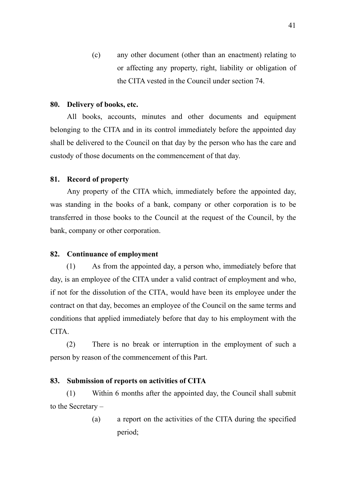(c) any other document (other than an enactment) relating to or affecting any property, right, liability or obligation of the CITA vested in the Council under section 74.

#### **80. Delivery of books, etc.**

All books, accounts, minutes and other documents and equipment belonging to the CITA and in its control immediately before the appointed day shall be delivered to the Council on that day by the person who has the care and custody of those documents on the commencement of that day.

#### **81. Record of property**

Any property of the CITA which, immediately before the appointed day, was standing in the books of a bank, company or other corporation is to be transferred in those books to the Council at the request of the Council, by the bank, company or other corporation.

#### **82. Continuance of employment**

(1) As from the appointed day, a person who, immediately before that day, is an employee of the CITA under a valid contract of employment and who, if not for the dissolution of the CITA, would have been its employee under the contract on that day, becomes an employee of the Council on the same terms and conditions that applied immediately before that day to his employment with the CITA.

(2) There is no break or interruption in the employment of such a person by reason of the commencement of this Part.

#### **83. Submission of reports on activities of CITA**

(1) Within 6 months after the appointed day, the Council shall submit to the Secretary –

> (a) a report on the activities of the CITA during the specified period;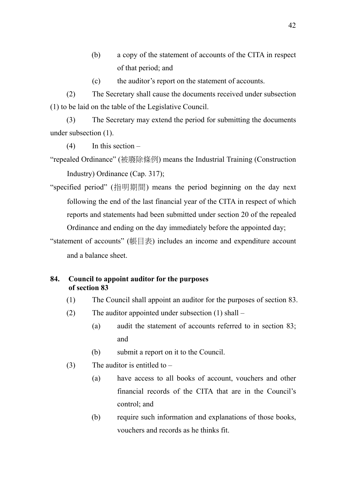- (b) a copy of the statement of accounts of the CITA in respect of that period; and
- (c) the auditor's report on the statement of accounts.

(2) The Secretary shall cause the documents received under subsection (1) to be laid on the table of the Legislative Council.

(3) The Secretary may extend the period for submitting the documents under subsection (1).

 $(4)$  In this section –

"repealed Ordinance" (被廢除條例) means the Industrial Training (Construction Industry) Ordinance (Cap. 317);

"specified period" (指明期間) means the period beginning on the day next following the end of the last financial year of the CITA in respect of which reports and statements had been submitted under section 20 of the repealed Ordinance and ending on the day immediately before the appointed day;

"statement of accounts" (帳目表) includes an income and expenditure account and a balance sheet.

## **84. Council to appoint auditor for the purposes of section 83**

- (1) The Council shall appoint an auditor for the purposes of section 83.
- (2) The auditor appointed under subsection (1) shall
	- (a) audit the statement of accounts referred to in section 83; and
	- (b) submit a report on it to the Council.
- (3) The auditor is entitled to  $-$ 
	- (a) have access to all books of account, vouchers and other financial records of the CITA that are in the Council's control; and
	- (b) require such information and explanations of those books, vouchers and records as he thinks fit.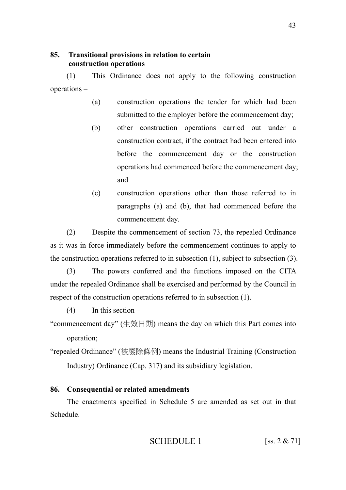## **85. Transitional provisions in relation to certain construction operations**

(1) This Ordinance does not apply to the following construction operations –

- (a) construction operations the tender for which had been submitted to the employer before the commencement day;
- (b) other construction operations carried out under a construction contract, if the contract had been entered into before the commencement day or the construction operations had commenced before the commencement day; and
- (c) construction operations other than those referred to in paragraphs (a) and (b), that had commenced before the commencement day.

(2) Despite the commencement of section 73, the repealed Ordinance as it was in force immediately before the commencement continues to apply to the construction operations referred to in subsection (1), subject to subsection (3).

(3) The powers conferred and the functions imposed on the CITA under the repealed Ordinance shall be exercised and performed by the Council in respect of the construction operations referred to in subsection (1).

 $(4)$  In this section –

- "commencement day" (生效日期) means the day on which this Part comes into operation;
- "repealed Ordinance" (被廢除條例) means the Industrial Training (Construction Industry) Ordinance (Cap. 317) and its subsidiary legislation.

## **86. Consequential or related amendments**

The enactments specified in Schedule 5 are amended as set out in that Schedule.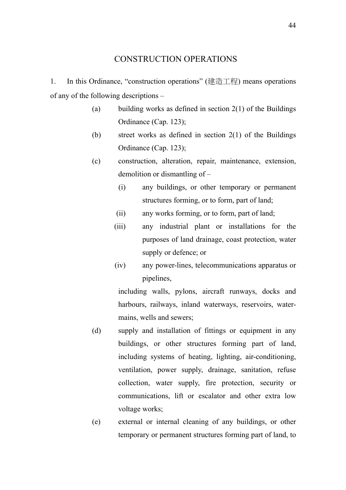1. In this Ordinance, "construction operations" (建造工程) means operations of any of the following descriptions –

- (a) building works as defined in section  $2(1)$  of the Buildings Ordinance (Cap. 123);
- (b) street works as defined in section 2(1) of the Buildings Ordinance (Cap. 123);
- (c) construction, alteration, repair, maintenance, extension, demolition or dismantling of –
	- (i) any buildings, or other temporary or permanent structures forming, or to form, part of land;
	- (ii) any works forming, or to form, part of land;
	- (iii) any industrial plant or installations for the purposes of land drainage, coast protection, water supply or defence; or
	- (iv) any power-lines, telecommunications apparatus or pipelines,

including walls, pylons, aircraft runways, docks and harbours, railways, inland waterways, reservoirs, watermains, wells and sewers;

- (d) supply and installation of fittings or equipment in any buildings, or other structures forming part of land, including systems of heating, lighting, air-conditioning, ventilation, power supply, drainage, sanitation, refuse collection, water supply, fire protection, security or communications, lift or escalator and other extra low voltage works;
- (e) external or internal cleaning of any buildings, or other temporary or permanent structures forming part of land, to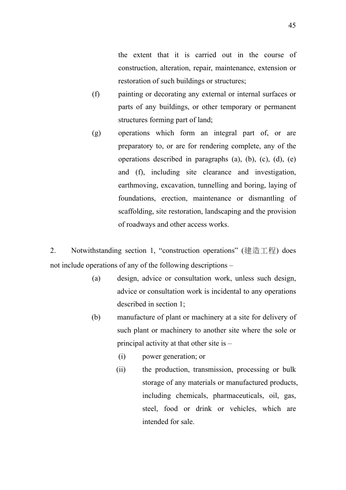the extent that it is carried out in the course of construction, alteration, repair, maintenance, extension or restoration of such buildings or structures;

- (f) painting or decorating any external or internal surfaces or parts of any buildings, or other temporary or permanent structures forming part of land;
- (g) operations which form an integral part of, or are preparatory to, or are for rendering complete, any of the operations described in paragraphs  $(a)$ ,  $(b)$ ,  $(c)$ ,  $(d)$ ,  $(e)$ and (f), including site clearance and investigation, earthmoving, excavation, tunnelling and boring, laying of foundations, erection, maintenance or dismantling of scaffolding, site restoration, landscaping and the provision of roadways and other access works.

2. Notwithstanding section 1, "construction operations" (建造工程) does not include operations of any of the following descriptions –

- (a) design, advice or consultation work, unless such design, advice or consultation work is incidental to any operations described in section 1;
- (b) manufacture of plant or machinery at a site for delivery of such plant or machinery to another site where the sole or principal activity at that other site is –
	- (i) power generation; or
	- (ii) the production, transmission, processing or bulk storage of any materials or manufactured products, including chemicals, pharmaceuticals, oil, gas, steel, food or drink or vehicles, which are intended for sale.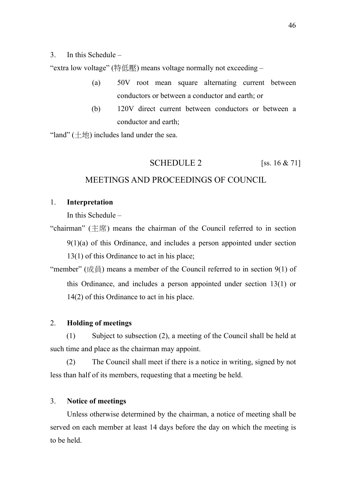### 3. In this Schedule –

"extra low voltage" (特低壓) means voltage normally not exceeding –

- (a) 50V root mean square alternating current between conductors or between a conductor and earth; or
- (b) 120V direct current between conductors or between a conductor and earth;

"land"  $(\pm \text{!})$  includes land under the sea.

## SCHEDULE 2  $[ss. 16 \& 71]$

## MEETINGS AND PROCEEDINGS OF COUNCIL

## 1. **Interpretation**

In this Schedule –

"chairman"  $(\pm \mathbb{R})$  means the chairman of the Council referred to in section 9(1)(a) of this Ordinance, and includes a person appointed under section 13(1) of this Ordinance to act in his place;

"member" ( $\overrightarrow{\mathcal{R}}$ ) means a member of the Council referred to in section 9(1) of this Ordinance, and includes a person appointed under section 13(1) or 14(2) of this Ordinance to act in his place.

### 2. **Holding of meetings**

(1) Subject to subsection (2), a meeting of the Council shall be held at such time and place as the chairman may appoint.

(2) The Council shall meet if there is a notice in writing, signed by not less than half of its members, requesting that a meeting be held.

#### 3. **Notice of meetings**

Unless otherwise determined by the chairman, a notice of meeting shall be served on each member at least 14 days before the day on which the meeting is to be held.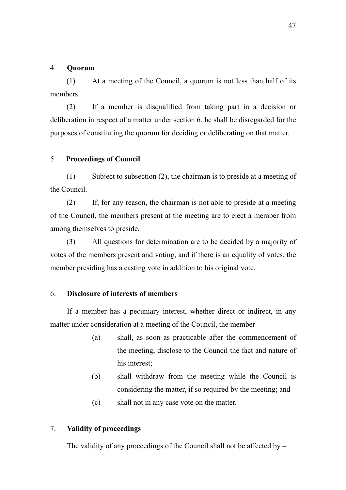### 4. **Quorum**

(1) At a meeting of the Council, a quorum is not less than half of its members.

(2) If a member is disqualified from taking part in a decision or deliberation in respect of a matter under section 6, he shall be disregarded for the purposes of constituting the quorum for deciding or deliberating on that matter.

#### 5. **Proceedings of Council**

(1) Subject to subsection (2), the chairman is to preside at a meeting of the Council.

(2) If, for any reason, the chairman is not able to preside at a meeting of the Council, the members present at the meeting are to elect a member from among themselves to preside.

(3) All questions for determination are to be decided by a majority of votes of the members present and voting, and if there is an equality of votes, the member presiding has a casting vote in addition to his original vote.

### 6. **Disclosure of interests of members**

 If a member has a pecuniary interest, whether direct or indirect, in any matter under consideration at a meeting of the Council, the member –

- (a) shall, as soon as practicable after the commencement of the meeting, disclose to the Council the fact and nature of his interest;
- (b) shall withdraw from the meeting while the Council is considering the matter, if so required by the meeting; and
- (c) shall not in any case vote on the matter.

### 7. **Validity of proceedings**

The validity of any proceedings of the Council shall not be affected by –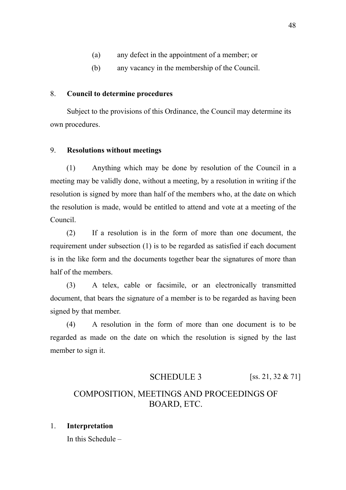- (a) any defect in the appointment of a member; or
- (b) any vacancy in the membership of the Council.

### 8. **Council to determine procedures**

Subject to the provisions of this Ordinance, the Council may determine its own procedures.

### 9. **Resolutions without meetings**

(1) Anything which may be done by resolution of the Council in a meeting may be validly done, without a meeting, by a resolution in writing if the resolution is signed by more than half of the members who, at the date on which the resolution is made, would be entitled to attend and vote at a meeting of the Council.

(2) If a resolution is in the form of more than one document, the requirement under subsection (1) is to be regarded as satisfied if each document is in the like form and the documents together bear the signatures of more than half of the members.

(3) A telex, cable or facsimile, or an electronically transmitted document, that bears the signature of a member is to be regarded as having been signed by that member.

(4) A resolution in the form of more than one document is to be regarded as made on the date on which the resolution is signed by the last member to sign it.

## SCHEDULE 3 [ss. 21, 32 & 71]

# COMPOSITION, MEETINGS AND PROCEEDINGS OF BOARD, ETC.

## 1. **Interpretation**

In this Schedule –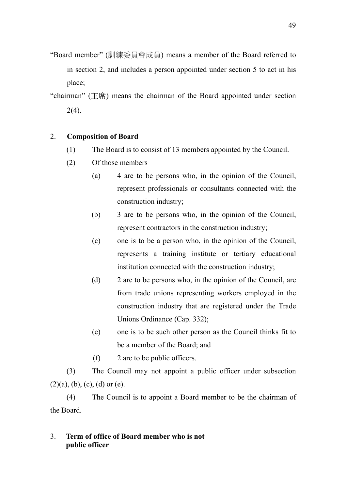- "Board member" (訓練委員會成員) means a member of the Board referred to in section 2, and includes a person appointed under section 5 to act in his place;
- "chairman"  $(\pm \pi)$  means the chairman of the Board appointed under section  $2(4)$ .

## 2. **Composition of Board**

- (1) The Board is to consist of 13 members appointed by the Council.
- (2) Of those members
	- (a) 4 are to be persons who, in the opinion of the Council, represent professionals or consultants connected with the construction industry;
	- (b) 3 are to be persons who, in the opinion of the Council, represent contractors in the construction industry;
	- (c) one is to be a person who, in the opinion of the Council, represents a training institute or tertiary educational institution connected with the construction industry;
	- (d) 2 are to be persons who, in the opinion of the Council, are from trade unions representing workers employed in the construction industry that are registered under the Trade Unions Ordinance (Cap. 332);
	- (e) one is to be such other person as the Council thinks fit to be a member of the Board; and
	- (f) 2 are to be public officers.

(3) The Council may not appoint a public officer under subsection  $(2)(a)$ ,  $(b)$ ,  $(c)$ ,  $(d)$  or  $(e)$ .

(4) The Council is to appoint a Board member to be the chairman of the Board.

## 3. **Term of office of Board member who is not public officer**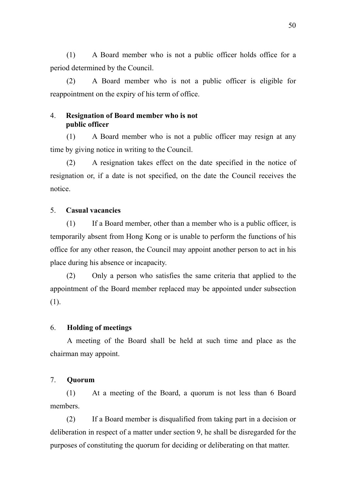(1) A Board member who is not a public officer holds office for a period determined by the Council.

(2) A Board member who is not a public officer is eligible for reappointment on the expiry of his term of office.

## 4. **Resignation of Board member who is not public officer**

(1) A Board member who is not a public officer may resign at any time by giving notice in writing to the Council.

(2) A resignation takes effect on the date specified in the notice of resignation or, if a date is not specified, on the date the Council receives the notice.

### 5. **Casual vacancies**

(1) If a Board member, other than a member who is a public officer, is temporarily absent from Hong Kong or is unable to perform the functions of his office for any other reason, the Council may appoint another person to act in his place during his absence or incapacity.

(2) Only a person who satisfies the same criteria that applied to the appointment of the Board member replaced may be appointed under subsection (1).

## 6. **Holding of meetings**

A meeting of the Board shall be held at such time and place as the chairman may appoint.

### 7. **Quorum**

(1) At a meeting of the Board, a quorum is not less than 6 Board members.

(2) If a Board member is disqualified from taking part in a decision or deliberation in respect of a matter under section 9, he shall be disregarded for the purposes of constituting the quorum for deciding or deliberating on that matter.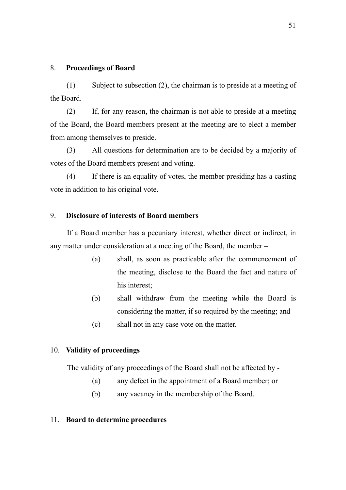## 8. **Proceedings of Board**

(1) Subject to subsection (2), the chairman is to preside at a meeting of the Board.

(2) If, for any reason, the chairman is not able to preside at a meeting of the Board, the Board members present at the meeting are to elect a member from among themselves to preside.

(3) All questions for determination are to be decided by a majority of votes of the Board members present and voting.

(4) If there is an equality of votes, the member presiding has a casting vote in addition to his original vote.

### 9. **Disclosure of interests of Board members**

If a Board member has a pecuniary interest, whether direct or indirect, in any matter under consideration at a meeting of the Board, the member –

- (a) shall, as soon as practicable after the commencement of the meeting, disclose to the Board the fact and nature of his interest;
- (b) shall withdraw from the meeting while the Board is considering the matter, if so required by the meeting; and
- (c) shall not in any case vote on the matter.

### 10. **Validity of proceedings**

The validity of any proceedings of the Board shall not be affected by -

- (a) any defect in the appointment of a Board member; or
- (b) any vacancy in the membership of the Board.

#### 11. **Board to determine procedures**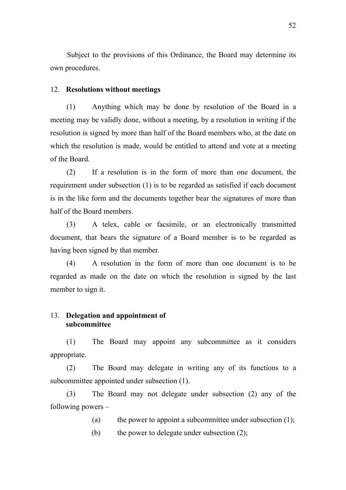Subject to the provisions of this Ordinance, the Board may determine its own procedures.

#### 12. **Resolutions without meetings**

(1) Anything which may be done by resolution of the Board in a meeting may be validly done, without a meeting, by a resolution in writing if the resolution is signed by more than half of the Board members who, at the date on which the resolution is made, would be entitled to attend and vote at a meeting of the Board.

(2) If a resolution is in the form of more than one document, the requirement under subsection (1) is to be regarded as satisfied if each document is in the like form and the documents together bear the signatures of more than half of the Board members.

(3) A telex, cable or facsimile, or an electronically transmitted document, that bears the signature of a Board member is to be regarded as having been signed by that member.

(4) A resolution in the form of more than one document is to be regarded as made on the date on which the resolution is signed by the last member to sign it.

### 13. **Delegation and appointment of subcommittee**

(1) The Board may appoint any subcommittee as it considers appropriate.

(2) The Board may delegate in writing any of its functions to a subcommittee appointed under subsection (1).

(3) The Board may not delegate under subsection (2) any of the following powers –

(a) the power to appoint a subcommittee under subsection  $(1)$ ;

(b) the power to delegate under subsection (2);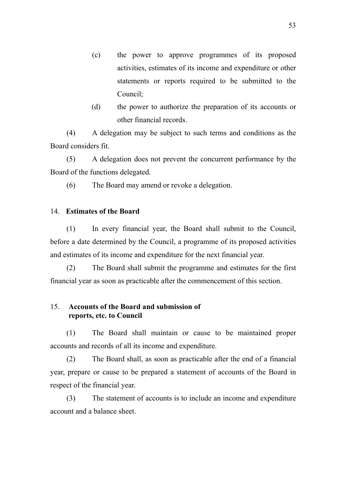- (c) the power to approve programmes of its proposed activities, estimates of its income and expenditure or other statements or reports required to be submitted to the Council;
- (d) the power to authorize the preparation of its accounts or other financial records.

(4) A delegation may be subject to such terms and conditions as the Board considers fit.

(5) A delegation does not prevent the concurrent performance by the Board of the functions delegated.

(6) The Board may amend or revoke a delegation.

## 14. **Estimates of the Board**

(1) In every financial year, the Board shall submit to the Council, before a date determined by the Council, a programme of its proposed activities and estimates of its income and expenditure for the next financial year.

(2) The Board shall submit the programme and estimates for the first financial year as soon as practicable after the commencement of this section.

## 15. **Accounts of the Board and submission of reports, etc. to Council**

(1) The Board shall maintain or cause to be maintained proper accounts and records of all its income and expenditure.

(2) The Board shall, as soon as practicable after the end of a financial year, prepare or cause to be prepared a statement of accounts of the Board in respect of the financial year.

(3) The statement of accounts is to include an income and expenditure account and a balance sheet.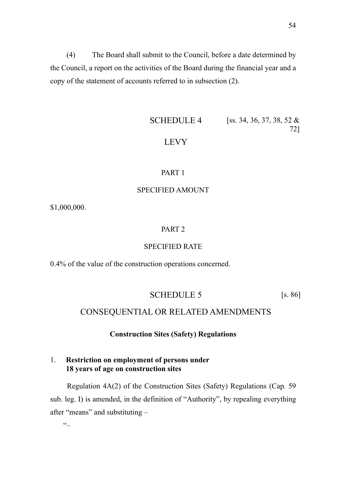(4) The Board shall submit to the Council, before a date determined by the Council, a report on the activities of the Board during the financial year and a copy of the statement of accounts referred to in subsection (2).

# **SCHEDULE 4** [ss. 34, 36, 37, 38, 52  $\&$ 72] LEVY

## PART 1

### SPECIFIED AMOUNT

\$1,000,000.

#### PART 2

### SPECIFIED RATE

0.4% of the value of the construction operations concerned.

### SCHEDULE 5 [s. 86]

## CONSEQUENTIAL OR RELATED AMENDMENTS

#### **Construction Sites (Safety) Regulations**

## 1. **Restriction on employment of persons under 18 years of age on construction sites**

Regulation 4A(2) of the Construction Sites (Safety) Regulations (Cap. 59 sub. leg. I) is amended, in the definition of "Authority", by repealing everything after "means" and substituting –

 $\epsilon$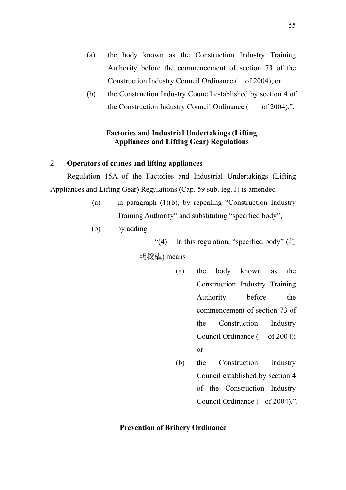- (a) the body known as the Construction Industry Training Authority before the commencement of section 73 of the Construction Industry Council Ordinance ( of 2004); or
- (b) the Construction Industry Council established by section 4 of the Construction Industry Council Ordinance ( of 2004).".

## **Factories and Industrial Undertakings (Lifting Appliances and Lifting Gear) Regulations**

## 2. **Operators of cranes and lifting appliances**

Regulation 15A of the Factories and Industrial Undertakings (Lifting Appliances and Lifting Gear) Regulations (Cap. 59 sub. leg. J) is amended -

- (a) in paragraph (1)(b), by repealing "Construction Industry Training Authority" and substituting "specified body";
- (b) by adding  $-$

"(4) In this regulation, "specified body" (指

明機構) means –

- (a) the body known as the Construction Industry Training Authority before the commencement of section 73 of the Construction Industry Council Ordinance ( of 2004); or
- (b) the Construction Industry Council established by section 4 of the Construction Industry Council Ordinance ( of 2004).".

#### **Prevention of Bribery Ordinance**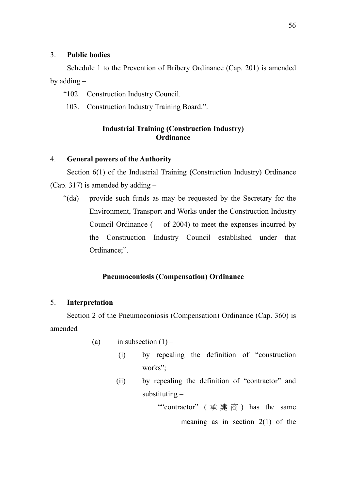## 3. **Public bodies**

 Schedule 1 to the Prevention of Bribery Ordinance (Cap. 201) is amended by adding –

"102. Construction Industry Council.

103. Construction Industry Training Board.".

## **Industrial Training (Construction Industry) Ordinance**

### 4. **General powers of the Authority**

Section 6(1) of the Industrial Training (Construction Industry) Ordinance (Cap. 317) is amended by adding –

"(da) provide such funds as may be requested by the Secretary for the Environment, Transport and Works under the Construction Industry Council Ordinance ( of 2004) to meet the expenses incurred by the Construction Industry Council established under that Ordinance;".

### **Pneumoconiosis (Compensation) Ordinance**

### 5. **Interpretation**

Section 2 of the Pneumoconiosis (Compensation) Ordinance (Cap. 360) is amended –

- (a) in subsection  $(1)$ 
	- (i) by repealing the definition of "construction works";
	- (ii) by repealing the definition of "contractor" and substituting –

""contractor" ( 承建商 ) has the same meaning as in section  $2(1)$  of the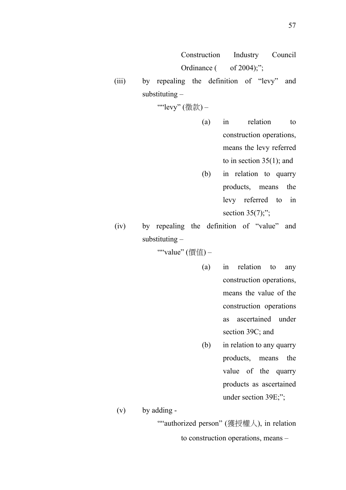Construction Industry Council Ordinance  $($  of 2004);";

(iii) by repealing the definition of "levy" and substituting –

""levy" (徵款) -

- (a) in relation to construction operations, means the levy referred to in section  $35(1)$ ; and
- (b) in relation to quarry products, means the levy referred to in section  $35(7)$ ;";
- (iv) by repealing the definition of "value" and substituting –

""value" (價值) –

- (a) in relation to any construction operations, means the value of the construction operations as ascertained under section 39C; and
- (b) in relation to any quarry products, means the value of the quarry products as ascertained under section 39E;";

(v) by adding -

""authorized person" (獲授權人), in relation

to construction operations, means –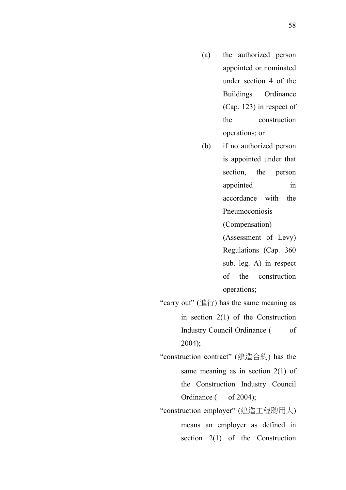- (a) the authorized person appointed or nominated under section 4 of the Buildings Ordinance (Cap. 123) in respect of the construction operations; or
- (b) if no authorized person is appointed under that section, the person appointed in accordance with the Pneumoconiosis

(Compensation) (Assessment of Levy) Regulations (Cap. 360 sub. leg. A) in respect of the construction operations;

"carry out" (進行) has the same meaning as

in section 2(1) of the Construction Industry Council Ordinance (of 2004);

"construction contract" (建造合約) has the same meaning as in section 2(1) of the Construction Industry Council Ordinance  $($  of 2004);

"construction employer" (建造工程聘用人) means an employer as defined in section 2(1) of the Construction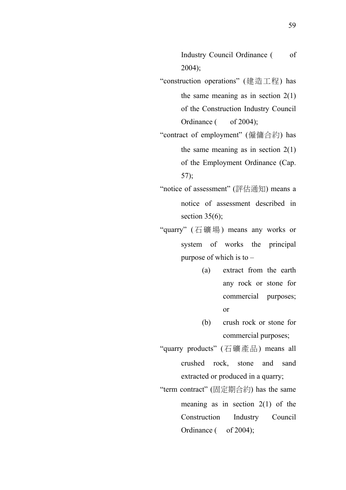Industry Council Ordinance (of 2004);

"construction operations" (建造工程) has the same meaning as in section  $2(1)$ of the Construction Industry Council Ordinance ( of 2004);

"contract of employment" (僱傭合約) has the same meaning as in section  $2(1)$ of the Employment Ordinance (Cap. 57);

- "notice of assessment" (評估通知) means a notice of assessment described in section  $35(6)$ ;
- "quarry" (石礦場 ) means any works or system of works the principal purpose of which is to –
	- (a) extract from the earth any rock or stone for commercial purposes; or
	- (b) crush rock or stone for commercial purposes;
- "quarry products" (石礦產品) means all crushed rock, stone and sand extracted or produced in a quarry;
- "term contract" (固定期合約) has the same meaning as in section 2(1) of the Construction Industry Council Ordinance  $($  of 2004);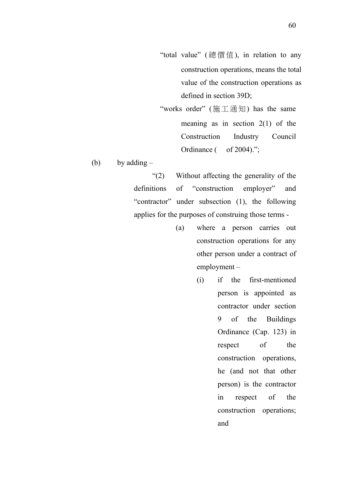- "total value" (總價值), in relation to any construction operations, means the total value of the construction operations as defined in section 39D;
- "works order" (施工通知) has the same meaning as in section  $2(1)$  of the Construction Industry Council Ordinance  $($  of 2004).";

(b) by adding  $-$ 

"(2) Without affecting the generality of the definitions of "construction employer" and "contractor" under subsection (1), the following applies for the purposes of construing those terms -

- (a) where a person carries out construction operations for any other person under a contract of employment –
	- (i) if the first-mentioned person is appointed as contractor under section 9 of the Buildings Ordinance (Cap. 123) in respect of the construction operations, he (and not that other person) is the contractor in respect of the construction operations; and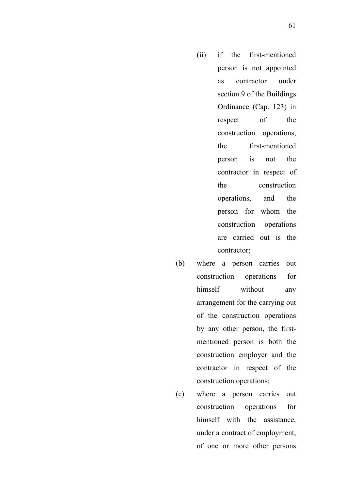- (ii) if the first-mentioned person is not appointed as contractor under section 9 of the Buildings Ordinance (Cap. 123) in respect of the construction operations, the first-mentioned person is not the contractor in respect of the construction operations, and the person for whom the construction operations are carried out is the contractor;
- (b) where a person carries out construction operations for himself without any arrangement for the carrying out of the construction operations by any other person, the firstmentioned person is both the construction employer and the contractor in respect of the construction operations;
- (c) where a person carries out construction operations for himself with the assistance, under a contract of employment, of one or more other persons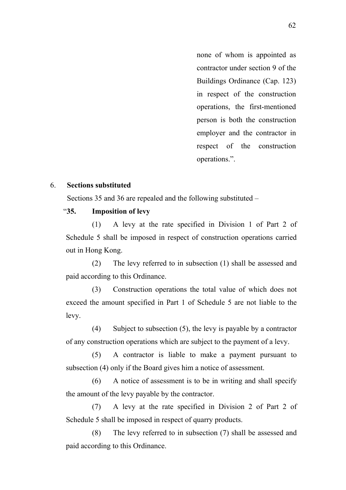none of whom is appointed as contractor under section 9 of the Buildings Ordinance (Cap. 123) in respect of the construction operations, the first-mentioned person is both the construction employer and the contractor in respect of the construction operations.".

#### 6. **Sections substituted**

Sections 35 and 36 are repealed and the following substituted –

## "**35. Imposition of levy**

(1) A levy at the rate specified in Division 1 of Part 2 of Schedule 5 shall be imposed in respect of construction operations carried out in Hong Kong.

(2) The levy referred to in subsection (1) shall be assessed and paid according to this Ordinance.

(3) Construction operations the total value of which does not exceed the amount specified in Part 1 of Schedule 5 are not liable to the levy.

(4) Subject to subsection (5), the levy is payable by a contractor of any construction operations which are subject to the payment of a levy.

(5) A contractor is liable to make a payment pursuant to subsection (4) only if the Board gives him a notice of assessment.

(6) A notice of assessment is to be in writing and shall specify the amount of the levy payable by the contractor.

(7) A levy at the rate specified in Division 2 of Part 2 of Schedule 5 shall be imposed in respect of quarry products.

(8) The levy referred to in subsection (7) shall be assessed and paid according to this Ordinance.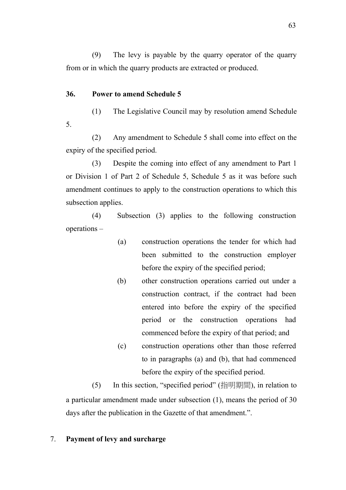(9) The levy is payable by the quarry operator of the quarry from or in which the quarry products are extracted or produced.

## **36. Power to amend Schedule 5**

(1) The Legislative Council may by resolution amend Schedule 5.

(2) Any amendment to Schedule 5 shall come into effect on the expiry of the specified period.

(3) Despite the coming into effect of any amendment to Part 1 or Division 1 of Part 2 of Schedule 5, Schedule 5 as it was before such amendment continues to apply to the construction operations to which this subsection applies.

(4) Subsection (3) applies to the following construction operations –

- (a) construction operations the tender for which had been submitted to the construction employer before the expiry of the specified period;
- (b) other construction operations carried out under a construction contract, if the contract had been entered into before the expiry of the specified period or the construction operations had commenced before the expiry of that period; and
- (c) construction operations other than those referred to in paragraphs (a) and (b), that had commenced before the expiry of the specified period.

(5) In this section, "specified period" (指明期間), in relation to a particular amendment made under subsection (1), means the period of 30 days after the publication in the Gazette of that amendment.".

## 7. **Payment of levy and surcharge**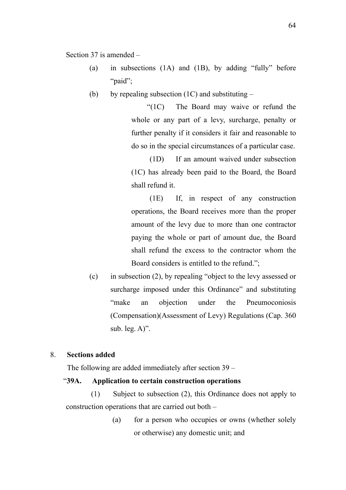Section 37 is amended –

- (a) in subsections (1A) and (1B), by adding "fully" before "paid";
- (b) by repealing subsection  $(1C)$  and substituting –

"(1C) The Board may waive or refund the whole or any part of a levy, surcharge, penalty or further penalty if it considers it fair and reasonable to do so in the special circumstances of a particular case.

(1D) If an amount waived under subsection (1C) has already been paid to the Board, the Board shall refund it.

(1E) If, in respect of any construction operations, the Board receives more than the proper amount of the levy due to more than one contractor paying the whole or part of amount due, the Board shall refund the excess to the contractor whom the Board considers is entitled to the refund.";

(c) in subsection (2), by repealing "object to the levy assessed or surcharge imposed under this Ordinance" and substituting "make an objection under the Pneumoconiosis (Compensation)(Assessment of Levy) Regulations (Cap. 360 sub. leg. A)".

## 8. **Sections added**

The following are added immediately after section 39 –

## "**39A. Application to certain construction operations**

(1) Subject to subsection (2), this Ordinance does not apply to construction operations that are carried out both –

> (a) for a person who occupies or owns (whether solely or otherwise) any domestic unit; and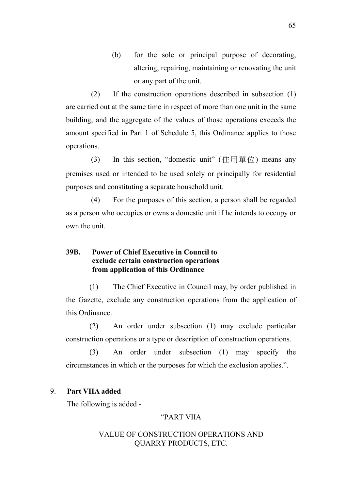(b) for the sole or principal purpose of decorating, altering, repairing, maintaining or renovating the unit or any part of the unit.

(2) If the construction operations described in subsection (1) are carried out at the same time in respect of more than one unit in the same building, and the aggregate of the values of those operations exceeds the amount specified in Part 1 of Schedule 5, this Ordinance applies to those operations.

(3) In this section, "domestic unit" (住用單位) means any premises used or intended to be used solely or principally for residential purposes and constituting a separate household unit.

(4) For the purposes of this section, a person shall be regarded as a person who occupies or owns a domestic unit if he intends to occupy or own the unit.

## **39B. Power of Chief Executive in Council to exclude certain construction operations from application of this Ordinance**

(1) The Chief Executive in Council may, by order published in the Gazette, exclude any construction operations from the application of this Ordinance.

(2) An order under subsection (1) may exclude particular construction operations or a type or description of construction operations.

(3) An order under subsection (1) may specify the circumstances in which or the purposes for which the exclusion applies.".

#### 9. **Part VIIA added**

The following is added -

## "PART VIIA

## VALUE OF CONSTRUCTION OPERATIONS AND QUARRY PRODUCTS, ETC.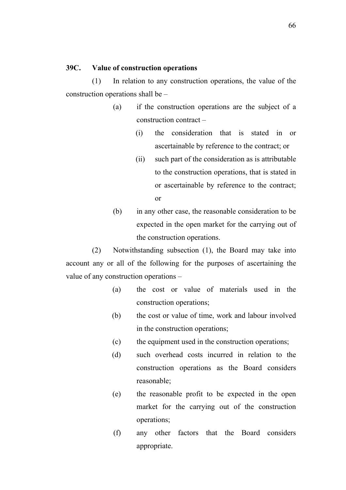## **39C. Value of construction operations**

(1) In relation to any construction operations, the value of the construction operations shall be –

- (a) if the construction operations are the subject of a construction contract –
	- (i) the consideration that is stated in or ascertainable by reference to the contract; or
	- (ii) such part of the consideration as is attributable to the construction operations, that is stated in or ascertainable by reference to the contract; or
- (b) in any other case, the reasonable consideration to be expected in the open market for the carrying out of the construction operations.

(2) Notwithstanding subsection (1), the Board may take into account any or all of the following for the purposes of ascertaining the value of any construction operations –

- (a) the cost or value of materials used in the construction operations;
- (b) the cost or value of time, work and labour involved in the construction operations;
- (c) the equipment used in the construction operations;
- (d) such overhead costs incurred in relation to the construction operations as the Board considers reasonable;
- (e) the reasonable profit to be expected in the open market for the carrying out of the construction operations;
- (f) any other factors that the Board considers appropriate.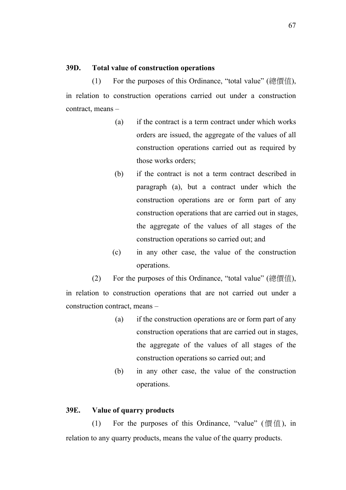## **39D. Total value of construction operations**

(1) For the purposes of this Ordinance, "total value" (總價值), in relation to construction operations carried out under a construction contract, means –

- (a) if the contract is a term contract under which works orders are issued, the aggregate of the values of all construction operations carried out as required by those works orders;
- (b) if the contract is not a term contract described in paragraph (a), but a contract under which the construction operations are or form part of any construction operations that are carried out in stages, the aggregate of the values of all stages of the construction operations so carried out; and
- (c) in any other case, the value of the construction operations.

(2) For the purposes of this Ordinance, "total value" (總價值), in relation to construction operations that are not carried out under a construction contract, means –

- (a) if the construction operations are or form part of any construction operations that are carried out in stages, the aggregate of the values of all stages of the construction operations so carried out; and
- (b) in any other case, the value of the construction operations.

#### **39E. Value of quarry products**

(1) For the purposes of this Ordinance, "value" (價值), in relation to any quarry products, means the value of the quarry products.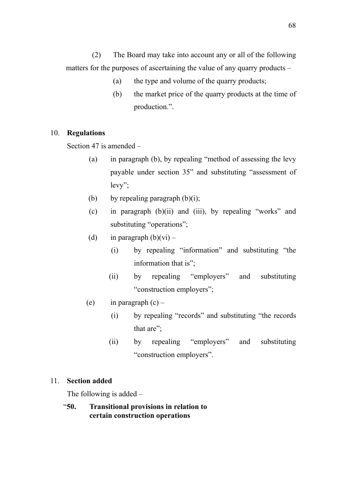(2) The Board may take into account any or all of the following matters for the purposes of ascertaining the value of any quarry products –

- (a) the type and volume of the quarry products;
- (b) the market price of the quarry products at the time of production.".

## 10. **Regulations**

Section 47 is amended –

- (a) in paragraph (b), by repealing "method of assessing the levy payable under section 35" and substituting "assessment of levy";
- (b) by repealing paragraph  $(b)(i)$ ;
- (c) in paragraph (b)(ii) and (iii), by repealing "works" and substituting "operations";
- (d) in paragraph  $(b)(vi)$ 
	- (i) by repealing "information" and substituting "the information that is";
	- (ii) by repealing "employers" and substituting "construction employers";
- (e) in paragraph  $(c)$ 
	- (i) by repealing "records" and substituting "the records that are";
	- (ii) by repealing "employers" and substituting "construction employers".

## 11. **Section added**

The following is added –

"**50. Transitional provisions in relation to certain construction operations**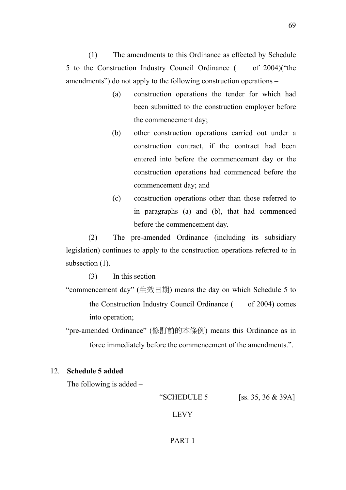(1) The amendments to this Ordinance as effected by Schedule 5 to the Construction Industry Council Ordinance ( of 2004)("the amendments") do not apply to the following construction operations –

- (a) construction operations the tender for which had been submitted to the construction employer before the commencement day;
- (b) other construction operations carried out under a construction contract, if the contract had been entered into before the commencement day or the construction operations had commenced before the commencement day; and
- (c) construction operations other than those referred to in paragraphs (a) and (b), that had commenced before the commencement day.

(2) The pre-amended Ordinance (including its subsidiary legislation) continues to apply to the construction operations referred to in subsection  $(1)$ .

 $(3)$  In this section –

"commencement day" (生效日期) means the day on which Schedule 5 to the Construction Industry Council Ordinance ( of 2004) comes into operation;

"pre-amended Ordinance" (修訂前的本條例) means this Ordinance as in force immediately before the commencement of the amendments.".

## 12. **Schedule 5 added**

The following is added –

"SCHEDULE 5 [ss. 35, 36 & 39A]

## LEVY

#### PART 1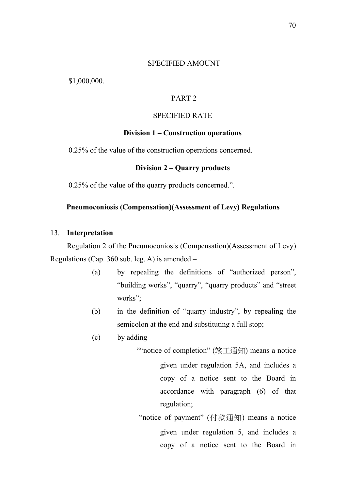#### SPECIFIED AMOUNT

\$1,000,000.

## PART 2

#### SPECIFIED RATE

#### **Division 1 – Construction operations**

0.25% of the value of the construction operations concerned.

#### **Division 2 – Quarry products**

0.25% of the value of the quarry products concerned.".

## **Pneumoconiosis (Compensation)(Assessment of Levy) Regulations**

#### 13. **Interpretation**

Regulation 2 of the Pneumoconiosis (Compensation)(Assessment of Levy) Regulations (Cap. 360 sub. leg. A) is amended –

- (a) by repealing the definitions of "authorized person", "building works", "quarry", "quarry products" and "street works";
- (b) in the definition of "quarry industry", by repealing the semicolon at the end and substituting a full stop;
- $(c)$  by adding  $-$

""notice of completion" (竣工通知) means a notice given under regulation 5A, and includes a copy of a notice sent to the Board in accordance with paragraph (6) of that regulation;

"notice of payment" (付款通知) means a notice given under regulation 5, and includes a copy of a notice sent to the Board in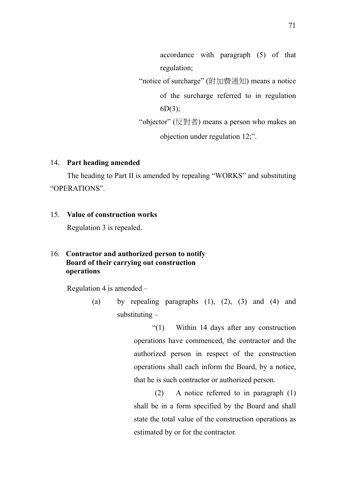accordance with paragraph (5) of that regulation;

"notice of surcharge" (附加費通知) means a notice

of the surcharge referred to in regulation 6D(3);

"objector"  $(\boxdot \boxtimes)$  means a person who makes an objection under regulation 12;".

## 14. **Part heading amended**

The heading to Part II is amended by repealing "WORKS" and substituting "OPERATIONS".

## 15. **Value of construction works**

Regulation 3 is repealed.

## 16. **Contractor and authorized person to notify Board of their carrying out construction operations**

Regulation 4 is amended –

(a) by repealing paragraphs  $(1)$ ,  $(2)$ ,  $(3)$  and  $(4)$  and substituting –

> "(1) Within 14 days after any construction operations have commenced, the contractor and the authorized person in respect of the construction operations shall each inform the Board, by a notice, that he is such contractor or authorized person.

> (2) A notice referred to in paragraph (1) shall be in a form specified by the Board and shall state the total value of the construction operations as estimated by or for the contractor.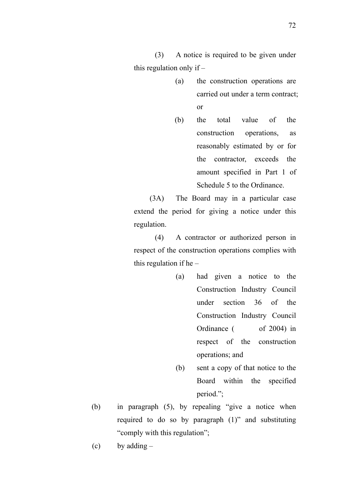(3) A notice is required to be given under this regulation only if –

- (a) the construction operations are carried out under a term contract; or
- (b) the total value of the construction operations, as reasonably estimated by or for the contractor, exceeds the amount specified in Part 1 of Schedule 5 to the Ordinance.

(3A) The Board may in a particular case extend the period for giving a notice under this regulation.

(4) A contractor or authorized person in respect of the construction operations complies with this regulation if he  $-$ 

- (a) had given a notice to the Construction Industry Council under section 36 of the Construction Industry Council Ordinance ( of 2004) in respect of the construction operations; and
	- (b) sent a copy of that notice to the Board within the specified period.";
- (b) in paragraph (5), by repealing "give a notice when required to do so by paragraph (1)" and substituting "comply with this regulation";
- (c) by adding  $-$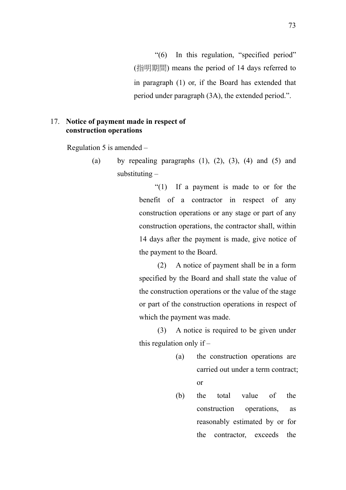"(6) In this regulation, "specified period" (指明期間) means the period of 14 days referred to in paragraph (1) or, if the Board has extended that period under paragraph (3A), the extended period.".

## 17. **Notice of payment made in respect of construction operations**

Regulation 5 is amended –

(a) by repealing paragraphs  $(1)$ ,  $(2)$ ,  $(3)$ ,  $(4)$  and  $(5)$  and substituting –

> "(1) If a payment is made to or for the benefit of a contractor in respect of any construction operations or any stage or part of any construction operations, the contractor shall, within 14 days after the payment is made, give notice of the payment to the Board.

> (2) A notice of payment shall be in a form specified by the Board and shall state the value of the construction operations or the value of the stage or part of the construction operations in respect of which the payment was made.

> (3) A notice is required to be given under this regulation only if –

- (a) the construction operations are carried out under a term contract; or
- (b) the total value of the construction operations, as reasonably estimated by or for the contractor, exceeds the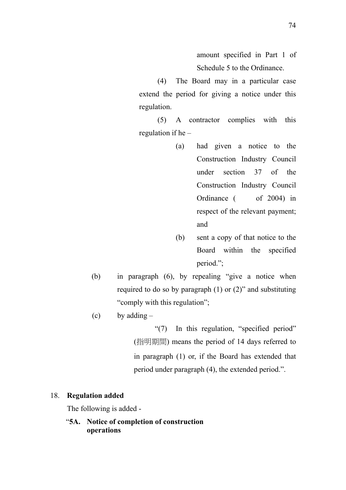amount specified in Part 1 of Schedule 5 to the Ordinance.

(4) The Board may in a particular case extend the period for giving a notice under this regulation.

(5) A contractor complies with this regulation if he –

- (a) had given a notice to the Construction Industry Council under section 37 of the Construction Industry Council Ordinance ( of 2004) in respect of the relevant payment; and
- (b) sent a copy of that notice to the Board within the specified period.";
- (b) in paragraph (6), by repealing "give a notice when required to do so by paragraph (1) or (2)" and substituting "comply with this regulation";
- $(c)$  by adding –

"(7) In this regulation, "specified period" (指明期間) means the period of 14 days referred to in paragraph (1) or, if the Board has extended that period under paragraph (4), the extended period.".

#### 18. **Regulation added**

The following is added -

"**5A. Notice of completion of construction operations**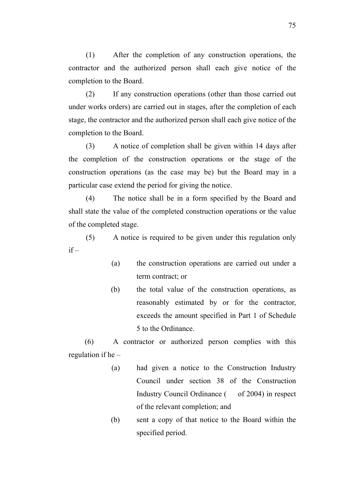(1) After the completion of any construction operations, the contractor and the authorized person shall each give notice of the completion to the Board.

(2) If any construction operations (other than those carried out under works orders) are carried out in stages, after the completion of each stage, the contractor and the authorized person shall each give notice of the completion to the Board.

(3) A notice of completion shall be given within 14 days after the completion of the construction operations or the stage of the construction operations (as the case may be) but the Board may in a particular case extend the period for giving the notice.

(4) The notice shall be in a form specified by the Board and shall state the value of the completed construction operations or the value of the completed stage.

(5) A notice is required to be given under this regulation only  $if -$ 

- (a) the construction operations are carried out under a term contract; or
- (b) the total value of the construction operations, as reasonably estimated by or for the contractor, exceeds the amount specified in Part 1 of Schedule 5 to the Ordinance.

(6) A contractor or authorized person complies with this regulation if he –

- (a) had given a notice to the Construction Industry Council under section 38 of the Construction Industry Council Ordinance ( of 2004) in respect of the relevant completion; and
- (b) sent a copy of that notice to the Board within the specified period.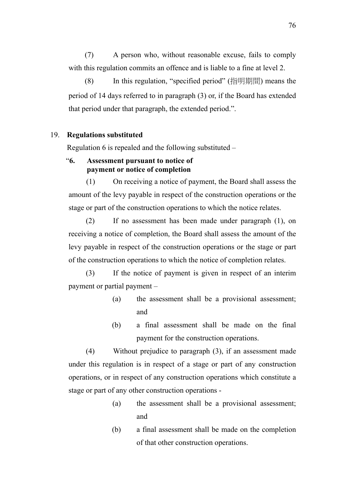(7) A person who, without reasonable excuse, fails to comply with this regulation commits an offence and is liable to a fine at level 2.

(8) In this regulation, "specified period" (指明期間) means the period of 14 days referred to in paragraph (3) or, if the Board has extended that period under that paragraph, the extended period.".

### 19. **Regulations substituted**

Regulation 6 is repealed and the following substituted –

## "**6. Assessment pursuant to notice of payment or notice of completion**

(1) On receiving a notice of payment, the Board shall assess the amount of the levy payable in respect of the construction operations or the stage or part of the construction operations to which the notice relates.

(2) If no assessment has been made under paragraph (1), on receiving a notice of completion, the Board shall assess the amount of the levy payable in respect of the construction operations or the stage or part of the construction operations to which the notice of completion relates.

(3) If the notice of payment is given in respect of an interim payment or partial payment –

- (a) the assessment shall be a provisional assessment; and
- (b) a final assessment shall be made on the final payment for the construction operations.

(4) Without prejudice to paragraph (3), if an assessment made under this regulation is in respect of a stage or part of any construction operations, or in respect of any construction operations which constitute a stage or part of any other construction operations -

- (a) the assessment shall be a provisional assessment; and
- (b) a final assessment shall be made on the completion of that other construction operations.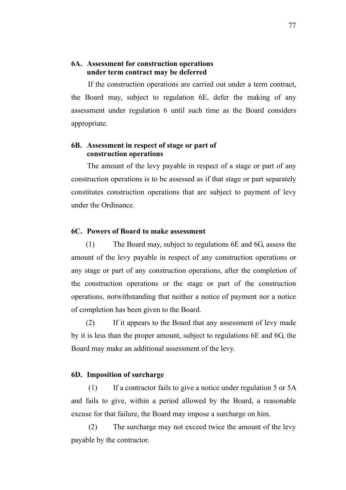## **6A. Assessment for construction operations under term contract may be deferred**

If the construction operations are carried out under a term contract, the Board may, subject to regulation 6E, defer the making of any assessment under regulation 6 until such time as the Board considers appropriate.

## **6B. Assessment in respect of stage or part of construction operations**

The amount of the levy payable in respect of a stage or part of any construction operations is to be assessed as if that stage or part separately constitutes construction operations that are subject to payment of levy under the Ordinance.

### **6C. Powers of Board to make assessment**

(1) The Board may, subject to regulations 6E and 6G, assess the amount of the levy payable in respect of any construction operations or any stage or part of any construction operations, after the completion of the construction operations or the stage or part of the construction operations, notwithstanding that neither a notice of payment nor a notice of completion has been given to the Board.

(2) If it appears to the Board that any assessment of levy made by it is less than the proper amount, subject to regulations 6E and 6G, the Board may make an additional assessment of the levy.

#### **6D. Imposition of surcharge**

(1) If a contractor fails to give a notice under regulation 5 or 5A and fails to give, within a period allowed by the Board, a reasonable excuse for that failure, the Board may impose a surcharge on him.

(2) The surcharge may not exceed twice the amount of the levy payable by the contractor.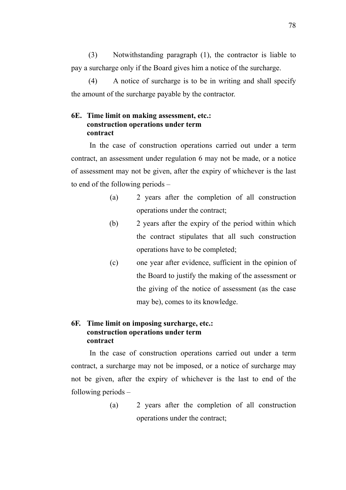(3) Notwithstanding paragraph (1), the contractor is liable to pay a surcharge only if the Board gives him a notice of the surcharge.

(4) A notice of surcharge is to be in writing and shall specify the amount of the surcharge payable by the contractor.

## **6E. Time limit on making assessment, etc.: construction operations under term contract**

In the case of construction operations carried out under a term contract, an assessment under regulation 6 may not be made, or a notice of assessment may not be given, after the expiry of whichever is the last to end of the following periods –

- (a) 2 years after the completion of all construction operations under the contract;
- (b) 2 years after the expiry of the period within which the contract stipulates that all such construction operations have to be completed;
- (c) one year after evidence, sufficient in the opinion of the Board to justify the making of the assessment or the giving of the notice of assessment (as the case may be), comes to its knowledge.

## **6F. Time limit on imposing surcharge, etc.: construction operations under term contract**

In the case of construction operations carried out under a term contract, a surcharge may not be imposed, or a notice of surcharge may not be given, after the expiry of whichever is the last to end of the following periods –

> (a) 2 years after the completion of all construction operations under the contract;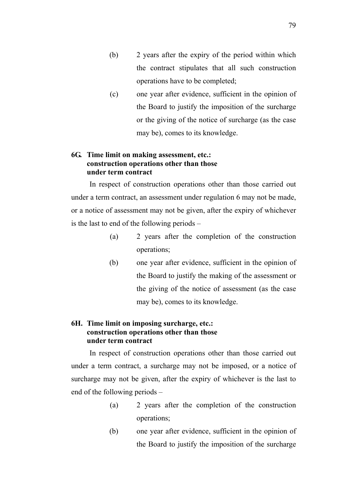- (b) 2 years after the expiry of the period within which the contract stipulates that all such construction operations have to be completed;
- (c) one year after evidence, sufficient in the opinion of the Board to justify the imposition of the surcharge or the giving of the notice of surcharge (as the case may be), comes to its knowledge.

## **6G. Time limit on making assessment, etc.: construction operations other than those under term contract**

In respect of construction operations other than those carried out under a term contract, an assessment under regulation 6 may not be made, or a notice of assessment may not be given, after the expiry of whichever is the last to end of the following periods –

- (a) 2 years after the completion of the construction operations;
- (b) one year after evidence, sufficient in the opinion of the Board to justify the making of the assessment or the giving of the notice of assessment (as the case may be), comes to its knowledge.

## **6H. Time limit on imposing surcharge, etc.: construction operations other than those under term contract**

In respect of construction operations other than those carried out under a term contract, a surcharge may not be imposed, or a notice of surcharge may not be given, after the expiry of whichever is the last to end of the following periods –

- (a) 2 years after the completion of the construction operations;
- (b) one year after evidence, sufficient in the opinion of the Board to justify the imposition of the surcharge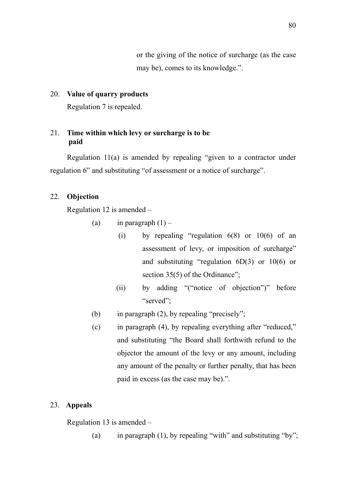or the giving of the notice of surcharge (as the case may be), comes to its knowledge.".

### 20. **Value of quarry products**

Regulation 7 is repealed.

## 21. **Time within which levy or surcharge is to be paid**

Regulation 11(a) is amended by repealing "given to a contractor under regulation 6" and substituting "of assessment or a notice of surcharge".

### 22. **Objection**

Regulation 12 is amended –

- (a) in paragraph  $(1)$ 
	- (i) by repealing "regulation  $6(8)$  or  $10(6)$  of an assessment of levy, or imposition of surcharge" and substituting "regulation 6D(3) or 10(6) or section 35(5) of the Ordinance";
	- (ii) by adding "("notice of objection")" before "served";
- (b) in paragraph (2), by repealing "precisely";
- (c) in paragraph (4), by repealing everything after "reduced," and substituting "the Board shall forthwith refund to the objector the amount of the levy or any amount, including any amount of the penalty or further penalty, that has been paid in excess (as the case may be).".

### 23. **Appeals**

Regulation 13 is amended –

(a) in paragraph (1), by repealing "with" and substituting "by";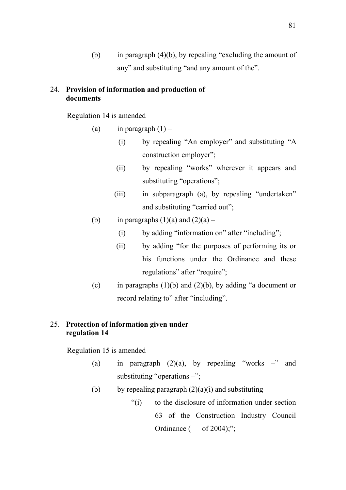(b) in paragraph (4)(b), by repealing "excluding the amount of any" and substituting "and any amount of the".

## 24. **Provision of information and production of documents**

Regulation 14 is amended –

- (a) in paragraph  $(1)$ 
	- (i) by repealing "An employer" and substituting "A construction employer";
	- (ii) by repealing "works" wherever it appears and substituting "operations";
	- (iii) in subparagraph (a), by repealing "undertaken" and substituting "carried out";
- (b) in paragraphs  $(1)(a)$  and  $(2)(a)$ 
	- (i) by adding "information on" after "including";
	- (ii) by adding "for the purposes of performing its or his functions under the Ordinance and these regulations" after "require";
- (c) in paragraphs  $(1)(b)$  and  $(2)(b)$ , by adding "a document or record relating to" after "including".

## 25. **Protection of information given under regulation 14**

Regulation 15 is amended –

- (a) in paragraph  $(2)(a)$ , by repealing "works –" and substituting "operations  $-\dddot{\,}$ ";
- (b) by repealing paragraph  $(2)(a)(i)$  and substituting
	- "(i) to the disclosure of information under section 63 of the Construction Industry Council Ordinance  $($  of 2004);";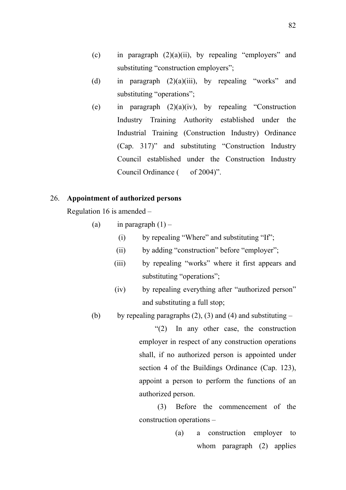- (c) in paragraph  $(2)(a)(ii)$ , by repealing "employers" and substituting "construction employers";
- (d) in paragraph  $(2)(a)(iii)$ , by repealing "works" and substituting "operations";
- (e) in paragraph  $(2)(a)(iv)$ , by repealing "Construction Industry Training Authority established under the Industrial Training (Construction Industry) Ordinance (Cap. 317)" and substituting "Construction Industry Council established under the Construction Industry Council Ordinance ( of 2004)".

#### 26. **Appointment of authorized persons**

Regulation 16 is amended –

- (a) in paragraph  $(1)$ 
	- (i) by repealing "Where" and substituting "If";
	- (ii) by adding "construction" before "employer";
	- (iii) by repealing "works" where it first appears and substituting "operations";
	- (iv) by repealing everything after "authorized person" and substituting a full stop;
- (b) by repealing paragraphs  $(2)$ ,  $(3)$  and  $(4)$  and substituting –

"(2) In any other case, the construction employer in respect of any construction operations shall, if no authorized person is appointed under section 4 of the Buildings Ordinance (Cap. 123), appoint a person to perform the functions of an authorized person.

(3) Before the commencement of the construction operations –

> (a) a construction employer to whom paragraph (2) applies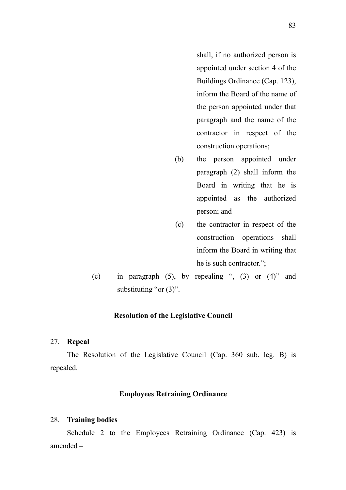shall, if no authorized person is appointed under section 4 of the Buildings Ordinance (Cap. 123), inform the Board of the name of the person appointed under that paragraph and the name of the contractor in respect of the construction operations;

- (b) the person appointed under paragraph (2) shall inform the Board in writing that he is appointed as the authorized person; and
- (c) the contractor in respect of the construction operations shall inform the Board in writing that he is such contractor.";
- (c) in paragraph  $(5)$ , by repealing ",  $(3)$  or  $(4)$ " and substituting "or  $(3)$ ".

### **Resolution of the Legislative Council**

#### 27. **Repeal**

The Resolution of the Legislative Council (Cap. 360 sub. leg. B) is repealed.

#### **Employees Retraining Ordinance**

#### 28. **Training bodies**

Schedule 2 to the Employees Retraining Ordinance (Cap. 423) is amended –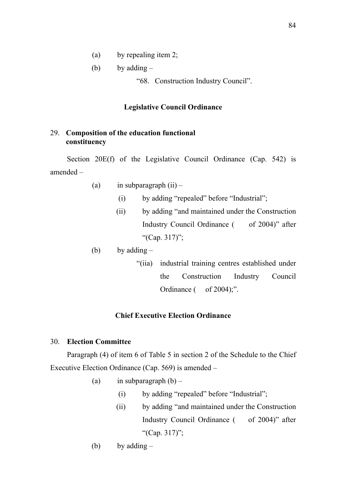(a) by repealing item 2;

(b) by adding  $-$ 

"68. Construction Industry Council".

### **Legislative Council Ordinance**

## 29. **Composition of the education functional constituency**

Section 20E(f) of the Legislative Council Ordinance (Cap. 542) is amended –

(a) in subparagraph  $(ii)$  –

- (i) by adding "repealed" before "Industrial";
- (ii) by adding "and maintained under the Construction Industry Council Ordinance ( of 2004)" after "(Cap. 317)";

(b) by adding  $-$ 

"(iia) industrial training centres established under the Construction Industry Council Ordinance  $($  of 2004);".

## **Chief Executive Election Ordinance**

## 30. **Election Committee**

Paragraph (4) of item 6 of Table 5 in section 2 of the Schedule to the Chief Executive Election Ordinance (Cap. 569) is amended –

- (a) in subparagraph  $(b)$ 
	- (i) by adding "repealed" before "Industrial";
	- (ii) by adding "and maintained under the Construction Industry Council Ordinance ( of 2004)" after "(Cap. 317)";
- (b) by adding  $-$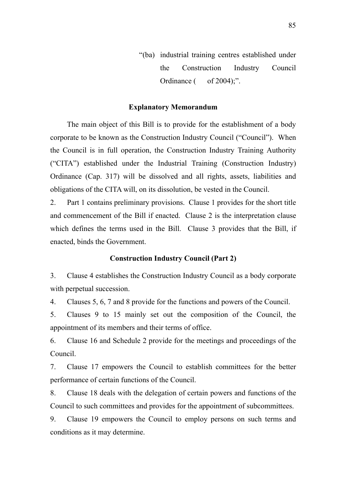"(ba) industrial training centres established under the Construction Industry Council Ordinance  $($  of 2004);".

## **Explanatory Memorandum**

 The main object of this Bill is to provide for the establishment of a body corporate to be known as the Construction Industry Council ("Council"). When the Council is in full operation, the Construction Industry Training Authority ("CITA") established under the Industrial Training (Construction Industry) Ordinance (Cap. 317) will be dissolved and all rights, assets, liabilities and obligations of the CITA will, on its dissolution, be vested in the Council.

2. Part 1 contains preliminary provisions. Clause 1 provides for the short title and commencement of the Bill if enacted. Clause 2 is the interpretation clause which defines the terms used in the Bill. Clause 3 provides that the Bill, if enacted, binds the Government.

#### **Construction Industry Council (Part 2)**

3. Clause 4 establishes the Construction Industry Council as a body corporate with perpetual succession.

4. Clauses 5, 6, 7 and 8 provide for the functions and powers of the Council.

5. Clauses 9 to 15 mainly set out the composition of the Council, the appointment of its members and their terms of office.

6. Clause 16 and Schedule 2 provide for the meetings and proceedings of the Council.

7. Clause 17 empowers the Council to establish committees for the better performance of certain functions of the Council.

8. Clause 18 deals with the delegation of certain powers and functions of the Council to such committees and provides for the appointment of subcommittees.

9. Clause 19 empowers the Council to employ persons on such terms and conditions as it may determine.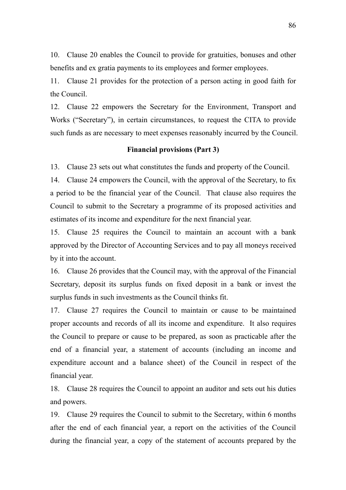10. Clause 20 enables the Council to provide for gratuities, bonuses and other benefits and ex gratia payments to its employees and former employees.

11. Clause 21 provides for the protection of a person acting in good faith for the Council.

12. Clause 22 empowers the Secretary for the Environment, Transport and Works ("Secretary"), in certain circumstances, to request the CITA to provide such funds as are necessary to meet expenses reasonably incurred by the Council.

#### **Financial provisions (Part 3)**

13. Clause 23 sets out what constitutes the funds and property of the Council.

14. Clause 24 empowers the Council, with the approval of the Secretary, to fix a period to be the financial year of the Council. That clause also requires the Council to submit to the Secretary a programme of its proposed activities and estimates of its income and expenditure for the next financial year.

15. Clause 25 requires the Council to maintain an account with a bank approved by the Director of Accounting Services and to pay all moneys received by it into the account.

16. Clause 26 provides that the Council may, with the approval of the Financial Secretary, deposit its surplus funds on fixed deposit in a bank or invest the surplus funds in such investments as the Council thinks fit.

17. Clause 27 requires the Council to maintain or cause to be maintained proper accounts and records of all its income and expenditure. It also requires the Council to prepare or cause to be prepared, as soon as practicable after the end of a financial year, a statement of accounts (including an income and expenditure account and a balance sheet) of the Council in respect of the financial year.

18. Clause 28 requires the Council to appoint an auditor and sets out his duties and powers.

19. Clause 29 requires the Council to submit to the Secretary, within 6 months after the end of each financial year, a report on the activities of the Council during the financial year, a copy of the statement of accounts prepared by the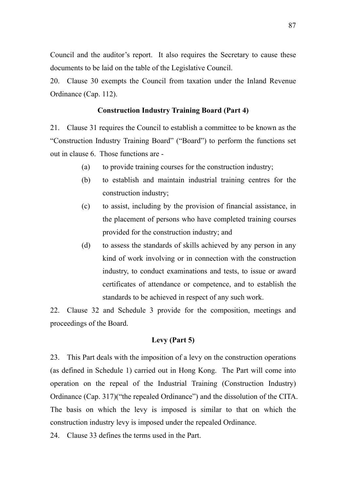Council and the auditor's report. It also requires the Secretary to cause these documents to be laid on the table of the Legislative Council.

20. Clause 30 exempts the Council from taxation under the Inland Revenue Ordinance (Cap. 112).

#### **Construction Industry Training Board (Part 4)**

21. Clause 31 requires the Council to establish a committee to be known as the "Construction Industry Training Board" ("Board") to perform the functions set out in clause 6. Those functions are -

- (a) to provide training courses for the construction industry;
- (b) to establish and maintain industrial training centres for the construction industry;
- (c) to assist, including by the provision of financial assistance, in the placement of persons who have completed training courses provided for the construction industry; and
- (d) to assess the standards of skills achieved by any person in any kind of work involving or in connection with the construction industry, to conduct examinations and tests, to issue or award certificates of attendance or competence, and to establish the standards to be achieved in respect of any such work.

22. Clause 32 and Schedule 3 provide for the composition, meetings and proceedings of the Board.

### **Levy (Part 5)**

23. This Part deals with the imposition of a levy on the construction operations (as defined in Schedule 1) carried out in Hong Kong. The Part will come into operation on the repeal of the Industrial Training (Construction Industry) Ordinance (Cap. 317)("the repealed Ordinance") and the dissolution of the CITA. The basis on which the levy is imposed is similar to that on which the construction industry levy is imposed under the repealed Ordinance.

24. Clause 33 defines the terms used in the Part.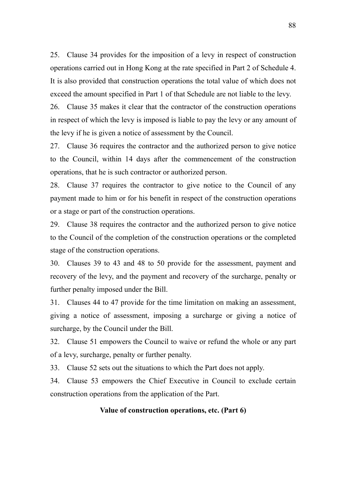25. Clause 34 provides for the imposition of a levy in respect of construction operations carried out in Hong Kong at the rate specified in Part 2 of Schedule 4. It is also provided that construction operations the total value of which does not exceed the amount specified in Part 1 of that Schedule are not liable to the levy.

26. Clause 35 makes it clear that the contractor of the construction operations in respect of which the levy is imposed is liable to pay the levy or any amount of the levy if he is given a notice of assessment by the Council.

27. Clause 36 requires the contractor and the authorized person to give notice to the Council, within 14 days after the commencement of the construction operations, that he is such contractor or authorized person.

28. Clause 37 requires the contractor to give notice to the Council of any payment made to him or for his benefit in respect of the construction operations or a stage or part of the construction operations.

29. Clause 38 requires the contractor and the authorized person to give notice to the Council of the completion of the construction operations or the completed stage of the construction operations.

30. Clauses 39 to 43 and 48 to 50 provide for the assessment, payment and recovery of the levy, and the payment and recovery of the surcharge, penalty or further penalty imposed under the Bill.

31. Clauses 44 to 47 provide for the time limitation on making an assessment, giving a notice of assessment, imposing a surcharge or giving a notice of surcharge, by the Council under the Bill.

32. Clause 51 empowers the Council to waive or refund the whole or any part of a levy, surcharge, penalty or further penalty.

33. Clause 52 sets out the situations to which the Part does not apply.

34. Clause 53 empowers the Chief Executive in Council to exclude certain construction operations from the application of the Part.

## **Value of construction operations, etc. (Part 6)**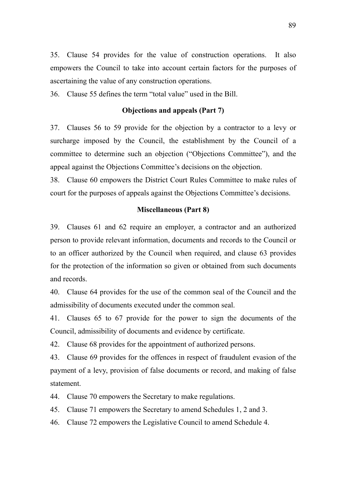35. Clause 54 provides for the value of construction operations. It also empowers the Council to take into account certain factors for the purposes of ascertaining the value of any construction operations.

36. Clause 55 defines the term "total value" used in the Bill.

### **Objections and appeals (Part 7)**

37. Clauses 56 to 59 provide for the objection by a contractor to a levy or surcharge imposed by the Council, the establishment by the Council of a committee to determine such an objection ("Objections Committee"), and the appeal against the Objections Committee's decisions on the objection.

38. Clause 60 empowers the District Court Rules Committee to make rules of court for the purposes of appeals against the Objections Committee's decisions.

#### **Miscellaneous (Part 8)**

39. Clauses 61 and 62 require an employer, a contractor and an authorized person to provide relevant information, documents and records to the Council or to an officer authorized by the Council when required, and clause 63 provides for the protection of the information so given or obtained from such documents and records.

40. Clause 64 provides for the use of the common seal of the Council and the admissibility of documents executed under the common seal.

41. Clauses 65 to 67 provide for the power to sign the documents of the Council, admissibility of documents and evidence by certificate.

42. Clause 68 provides for the appointment of authorized persons.

43. Clause 69 provides for the offences in respect of fraudulent evasion of the payment of a levy, provision of false documents or record, and making of false statement.

44. Clause 70 empowers the Secretary to make regulations.

45. Clause 71 empowers the Secretary to amend Schedules 1, 2 and 3.

46. Clause 72 empowers the Legislative Council to amend Schedule 4.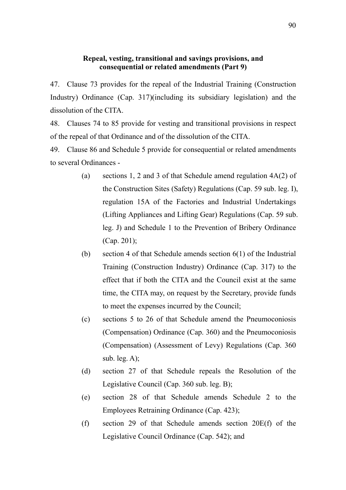## **Repeal, vesting, transitional and savings provisions, and consequential or related amendments (Part 9)**

47. Clause 73 provides for the repeal of the Industrial Training (Construction Industry) Ordinance (Cap. 317)(including its subsidiary legislation) and the dissolution of the CITA.

48. Clauses 74 to 85 provide for vesting and transitional provisions in respect of the repeal of that Ordinance and of the dissolution of the CITA.

49. Clause 86 and Schedule 5 provide for consequential or related amendments to several Ordinances -

- (a) sections 1, 2 and 3 of that Schedule amend regulation 4A(2) of the Construction Sites (Safety) Regulations (Cap. 59 sub. leg. I), regulation 15A of the Factories and Industrial Undertakings (Lifting Appliances and Lifting Gear) Regulations (Cap. 59 sub. leg. J) and Schedule 1 to the Prevention of Bribery Ordinance (Cap. 201);
- (b) section 4 of that Schedule amends section 6(1) of the Industrial Training (Construction Industry) Ordinance (Cap. 317) to the effect that if both the CITA and the Council exist at the same time, the CITA may, on request by the Secretary, provide funds to meet the expenses incurred by the Council;
- (c) sections 5 to 26 of that Schedule amend the Pneumoconiosis (Compensation) Ordinance (Cap. 360) and the Pneumoconiosis (Compensation) (Assessment of Levy) Regulations (Cap. 360 sub. leg.  $A$ );
- (d) section 27 of that Schedule repeals the Resolution of the Legislative Council (Cap. 360 sub. leg. B);
- (e) section 28 of that Schedule amends Schedule 2 to the Employees Retraining Ordinance (Cap. 423);
- (f) section 29 of that Schedule amends section 20E(f) of the Legislative Council Ordinance (Cap. 542); and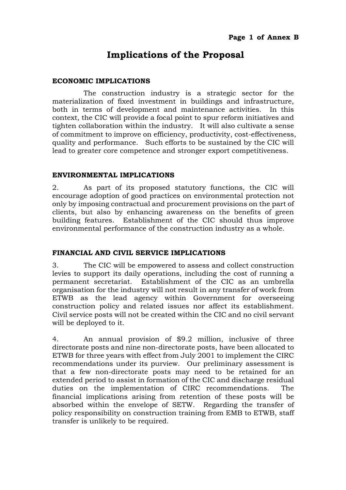# **Implications of the Proposal**

## **ECONOMIC IMPLICATIONS**

 The construction industry is a strategic sector for the materialization of fixed investment in buildings and infrastructure, both in terms of development and maintenance activities. In this context, the CIC will provide a focal point to spur reform initiatives and tighten collaboration within the industry. It will also cultivate a sense of commitment to improve on efficiency, productivity, cost-effectiveness, quality and performance. Such efforts to be sustained by the CIC will lead to greater core competence and stronger export competitiveness.

### **ENVIRONMENTAL IMPLICATIONS**

2. As part of its proposed statutory functions, the CIC will encourage adoption of good practices on environmental protection not only by imposing contractual and procurement provisions on the part of clients, but also by enhancing awareness on the benefits of green building features. Establishment of the CIC should thus improve environmental performance of the construction industry as a whole.

## **FINANCIAL AND CIVIL SERVICE IMPLICATIONS**

3. The CIC will be empowered to assess and collect construction levies to support its daily operations, including the cost of running a permanent secretariat. Establishment of the CIC as an umbrella organisation for the industry will not result in any transfer of work from ETWB as the lead agency within Government for overseeing construction policy and related issues nor affect its establishment. Civil service posts will not be created within the CIC and no civil servant will be deployed to it.

4. An annual provision of \$9.2 million, inclusive of three directorate posts and nine non-directorate posts, have been allocated to ETWB for three years with effect from July 2001 to implement the CIRC recommendations under its purview. Our preliminary assessment is that a few non-directorate posts may need to be retained for an extended period to assist in formation of the CIC and discharge residual duties on the implementation of CIRC recommendations. The financial implications arising from retention of these posts will be absorbed within the envelope of SETW. Regarding the transfer of policy responsibility on construction training from EMB to ETWB, staff transfer is unlikely to be required.